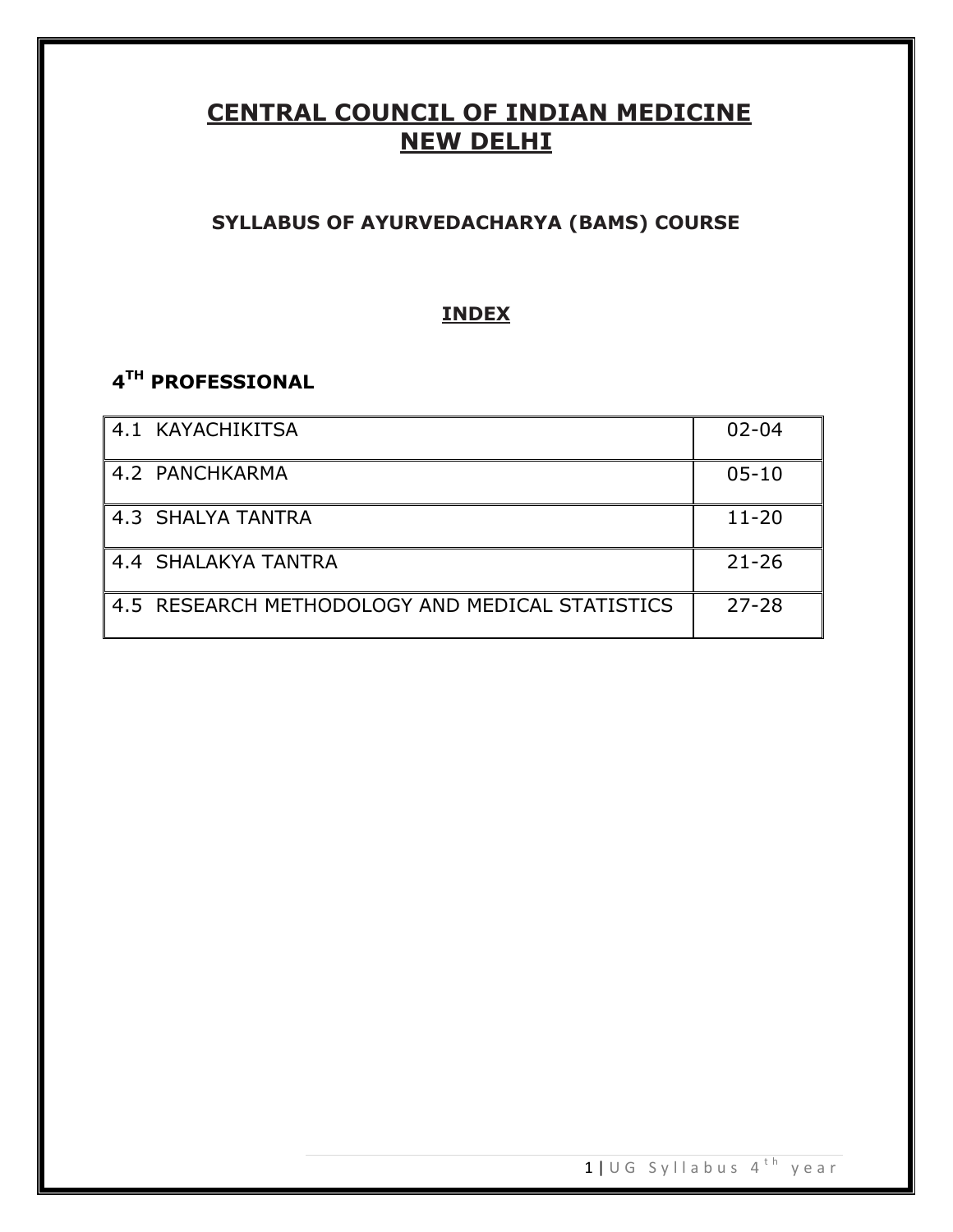# **CENTRAL COUNCIL OF INDIAN MEDICINE NEW DELHI**

# **SYLLABUS OF AYURVEDACHARYA (BAMS) COURSE**

# **INDEX**

# **4 TH PROFESSIONAL**

| 4.1 KAYACHIKITSA                                | $02 - 04$ |
|-------------------------------------------------|-----------|
| 4.2 PANCHKARMA                                  | $05 - 10$ |
| 4.3 SHALYA TANTRA                               | $11 - 20$ |
| 4.4 SHALAKYA TANTRA                             | $21 - 26$ |
| 4.5 RESEARCH METHODOLOGY AND MEDICAL STATISTICS | $27 - 28$ |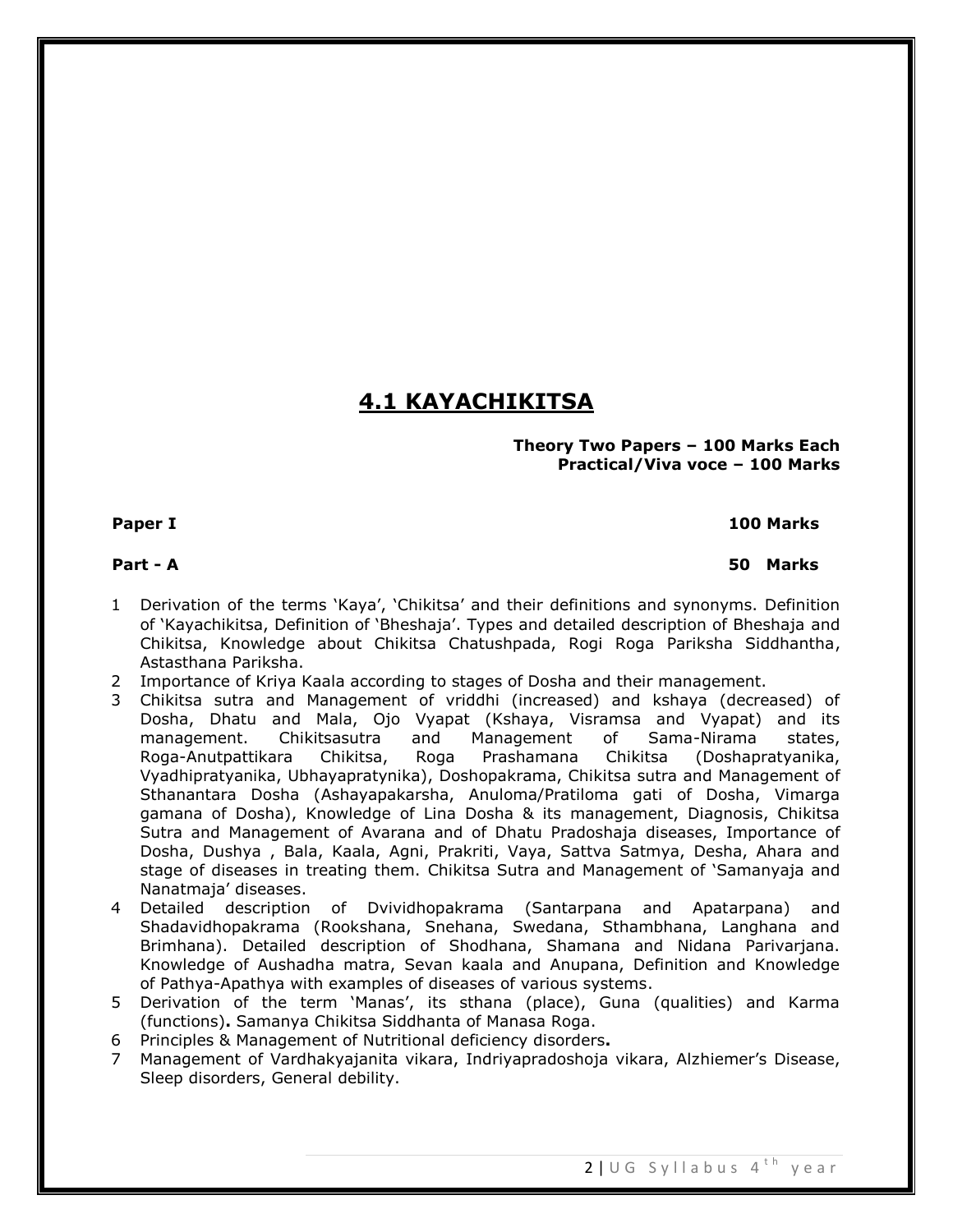# **4.1 KAYACHIKITSA**

#### **Theory Two Papers – 100 Marks Each Practical/Viva voce – 100 Marks**

# **Paper I 100 Marks**

# **Part - A 50 Marks**

- 1 Derivation of the terms 'Kaya', 'Chikitsa' and their definitions and synonyms. Definition of 'Kayachikitsa, Definition of 'Bheshaja'. Types and detailed description of Bheshaja and Chikitsa, Knowledge about Chikitsa Chatushpada, Rogi Roga Pariksha Siddhantha, Astasthana Pariksha.
- 2 Importance of Kriya Kaala according to stages of Dosha and their management.
- 3 Chikitsa sutra and Management of vriddhi (increased) and kshaya (decreased) of Dosha, Dhatu and Mala, Ojo Vyapat (Kshaya, Visramsa and Vyapat) and its management. Chikitsasutra and Management of Sama-Nirama states, Roga-Anutpattikara Chikitsa, Roga Prashamana Chikitsa (Doshapratyanika, Vyadhipratyanika, Ubhayapratynika), Doshopakrama, Chikitsa sutra and Management of Sthanantara Dosha (Ashayapakarsha, Anuloma/Pratiloma gati of Dosha, Vimarga gamana of Dosha), Knowledge of Lina Dosha & its management, Diagnosis, Chikitsa Sutra and Management of Avarana and of Dhatu Pradoshaja diseases, Importance of Dosha, Dushya , Bala, Kaala, Agni, Prakriti, Vaya, Sattva Satmya, Desha, Ahara and stage of diseases in treating them. Chikitsa Sutra and Management of 'Samanyaja and Nanatmaja' diseases.
- 4 Detailed description of Dvividhopakrama (Santarpana and Apatarpana) and Shadavidhopakrama (Rookshana, Snehana, Swedana, Sthambhana, Langhana and Brimhana). Detailed description of Shodhana, Shamana and Nidana Parivarjana. Knowledge of Aushadha matra, Sevan kaala and Anupana, Definition and Knowledge of Pathya-Apathya with examples of diseases of various systems.
- 5 Derivation of the term 'Manas', its sthana (place), Guna (qualities) and Karma (functions)**.** Samanya Chikitsa Siddhanta of Manasa Roga.
- 6 Principles & Management of Nutritional deficiency disorders**.**
- 7 Management of Vardhakyajanita vikara, Indriyapradoshoja vikara, Alzhiemer's Disease, Sleep disorders, General debility.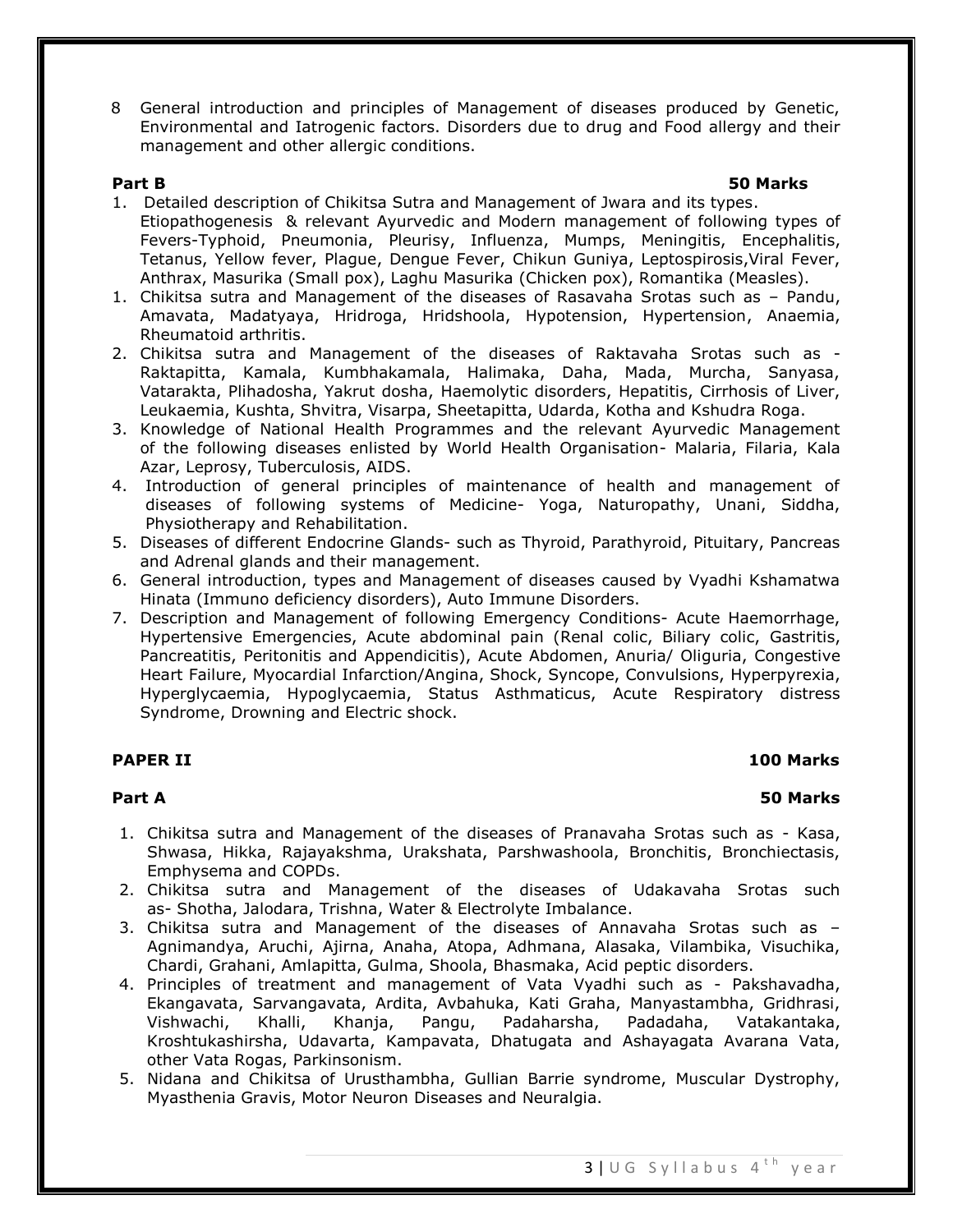8 General introduction and principles of Management of diseases produced by Genetic, Environmental and Iatrogenic factors. Disorders due to drug and Food allergy and their management and other allergic conditions.

#### **Part B 50 Marks**

- 1. Detailed description of Chikitsa Sutra and Management of Jwara and its types. Etiopathogenesis & relevant Ayurvedic and Modern management of following types of Fevers-Typhoid, Pneumonia, Pleurisy, Influenza, Mumps, Meningitis, Encephalitis, Tetanus, Yellow fever, Plague, Dengue Fever, Chikun Guniya, Leptospirosis,Viral Fever, Anthrax, Masurika (Small pox), Laghu Masurika (Chicken pox), Romantika (Measles).
- 1. Chikitsa sutra and Management of the diseases of Rasavaha Srotas such as Pandu, Amavata, Madatyaya, Hridroga, Hridshoola, Hypotension, Hypertension, Anaemia, Rheumatoid arthritis.
- 2. Chikitsa sutra and Management of the diseases of Raktavaha Srotas such as Raktapitta, Kamala, Kumbhakamala, Halimaka, Daha, Mada, Murcha, Sanyasa, Vatarakta, Plihadosha, Yakrut dosha, Haemolytic disorders, Hepatitis, Cirrhosis of Liver, Leukaemia, Kushta, Shvitra, Visarpa, Sheetapitta, Udarda, Kotha and Kshudra Roga.
- 3. Knowledge of National Health Programmes and the relevant Ayurvedic Management of the following diseases enlisted by World Health Organisation- Malaria, Filaria, Kala Azar, Leprosy, Tuberculosis, AIDS.
- 4. Introduction of general principles of maintenance of health and management of diseases of following systems of Medicine- Yoga, Naturopathy, Unani, Siddha, Physiotherapy and Rehabilitation.
- 5. Diseases of different Endocrine Glands- such as Thyroid, Parathyroid, Pituitary, Pancreas and Adrenal glands and their management.
- 6. General introduction, types and Management of diseases caused by Vyadhi Kshamatwa Hinata (Immuno deficiency disorders), Auto Immune Disorders.
- 7. Description and Management of following Emergency Conditions- Acute Haemorrhage, Hypertensive Emergencies, Acute abdominal pain (Renal colic, Biliary colic, Gastritis, Pancreatitis, Peritonitis and Appendicitis), Acute Abdomen, Anuria/ Oliguria, Congestive Heart Failure, Myocardial Infarction/Angina, Shock, Syncope, Convulsions, Hyperpyrexia, Hyperglycaemia, Hypoglycaemia, Status Asthmaticus, Acute Respiratory distress Syndrome, Drowning and Electric shock.

### **PAPER II** 100 Marks

### **Part A 50 Marks**

- 1. Chikitsa sutra and Management of the diseases of Pranavaha Srotas such as Kasa, Shwasa, Hikka, Rajayakshma, Urakshata, Parshwashoola, Bronchitis, Bronchiectasis, Emphysema and COPDs.
- 2. Chikitsa sutra and Management of the diseases of Udakavaha Srotas such as- Shotha, Jalodara, Trishna, Water & Electrolyte Imbalance.
- 3. Chikitsa sutra and Management of the diseases of Annavaha Srotas such as Agnimandya, Aruchi, Ajirna, Anaha, Atopa, Adhmana, Alasaka, Vilambika, Visuchika, Chardi, Grahani, Amlapitta, Gulma, Shoola, Bhasmaka, Acid peptic disorders.
- 4. Principles of treatment and management of Vata Vyadhi such as Pakshavadha, Ekangavata, Sarvangavata, Ardita, Avbahuka, Kati Graha, Manyastambha, Gridhrasi, Vishwachi, Khalli, Khanja, Pangu, Padaharsha, Padadaha, Vatakantaka, Kroshtukashirsha, Udavarta, Kampavata, Dhatugata and Ashayagata Avarana Vata, other Vata Rogas, Parkinsonism.
- 5. Nidana and Chikitsa of Urusthambha, Gullian Barrie syndrome, Muscular Dystrophy, Myasthenia Gravis, Motor Neuron Diseases and Neuralgia.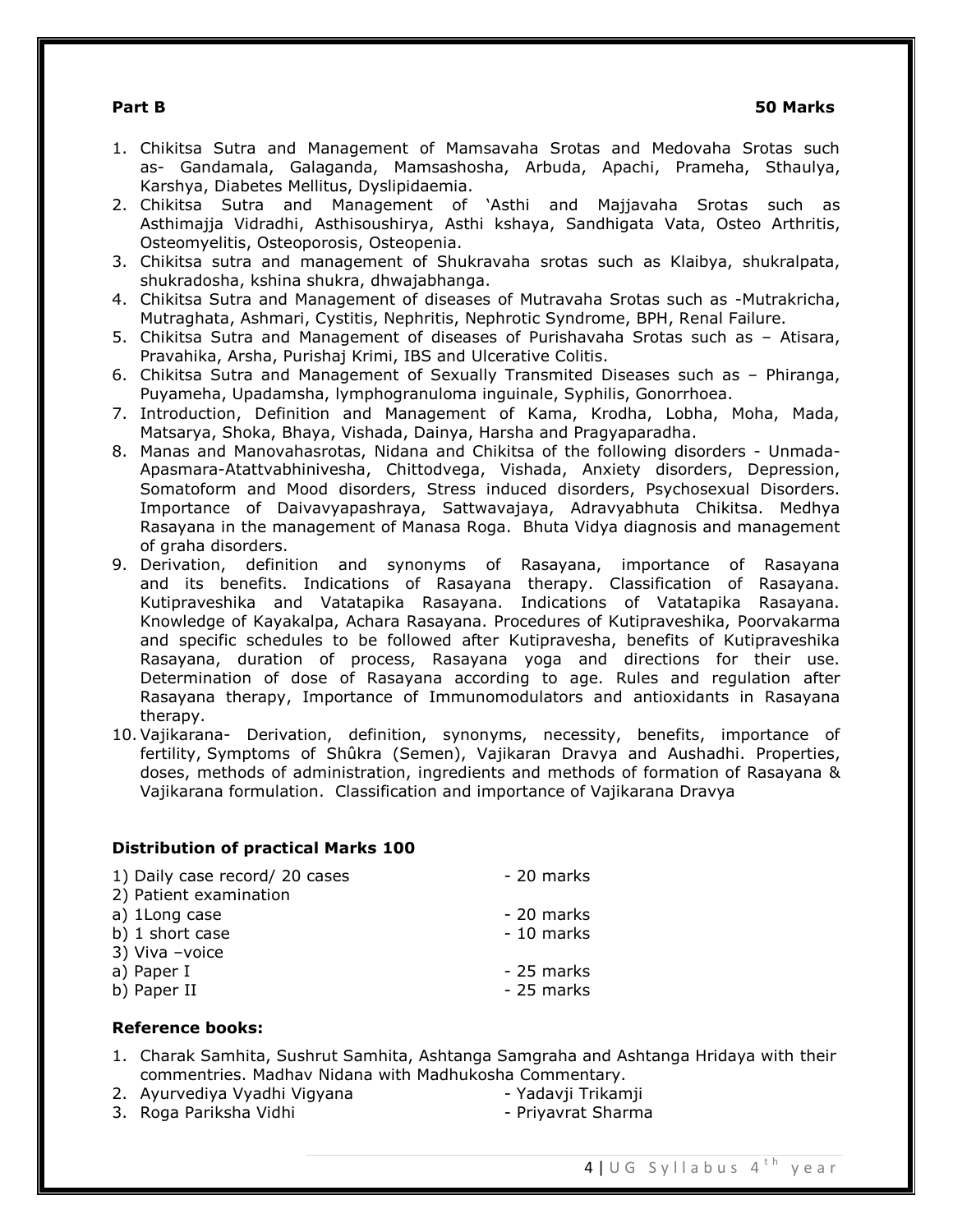#### **Part B 50 Marks**

- 1. Chikitsa Sutra and Management of Mamsavaha Srotas and Medovaha Srotas such as- Gandamala, Galaganda, Mamsashosha, Arbuda, Apachi, Prameha, Sthaulya, Karshya, Diabetes Mellitus, Dyslipidaemia.
- 2. Chikitsa Sutra and Management of 'Asthi and Majjavaha Srotas such as Asthimajja Vidradhi, Asthisoushirya, Asthi kshaya, Sandhigata Vata, Osteo Arthritis, Osteomyelitis, Osteoporosis, Osteopenia.
- 3. Chikitsa sutra and management of Shukravaha srotas such as Klaibya, shukralpata, shukradosha, kshina shukra, dhwajabhanga.
- 4. Chikitsa Sutra and Management of diseases of Mutravaha Srotas such as -Mutrakricha, Mutraghata, Ashmari, Cystitis, Nephritis, Nephrotic Syndrome, BPH, Renal Failure.
- 5. Chikitsa Sutra and Management of diseases of Purishavaha Srotas such as Atisara, Pravahika, Arsha, Purishaj Krimi, IBS and Ulcerative Colitis.
- 6. Chikitsa Sutra and Management of Sexually Transmited Diseases such as Phiranga, Puyameha, Upadamsha, lymphogranuloma inguinale, Syphilis, Gonorrhoea.
- 7. Introduction, Definition and Management of Kama, Krodha, Lobha, Moha, Mada, Matsarya, Shoka, Bhaya, Vishada, Dainya, Harsha and Pragyaparadha.
- 8. Manas and Manovahasrotas, Nidana and Chikitsa of the following disorders Unmada-Apasmara-Atattvabhinivesha, Chittodvega, Vishada, Anxiety disorders, Depression, Somatoform and Mood disorders, Stress induced disorders, Psychosexual Disorders. Importance of Daivavyapashraya, Sattwavajaya, Adravyabhuta Chikitsa. Medhya Rasayana in the management of Manasa Roga. Bhuta Vidya diagnosis and management of graha disorders.
- 9. Derivation, definition and synonyms of Rasayana, importance of Rasayana and its benefits. Indications of Rasayana therapy. Classification of Rasayana. Kutipraveshika and Vatatapika Rasayana. Indications of Vatatapika Rasayana. Knowledge of Kayakalpa, Achara Rasayana. Procedures of Kutipraveshika, Poorvakarma and specific schedules to be followed after Kutipravesha, benefits of Kutipraveshika Rasayana, duration of process, Rasayana yoga and directions for their use. Determination of dose of Rasayana according to age. Rules and regulation after Rasayana therapy, Importance of Immunomodulators and antioxidants in Rasayana therapy.
- 10.Vajikarana- Derivation, definition, synonyms, necessity, benefits, importance of fertility, Symptoms of Shûkra (Semen), Vajikaran Dravya and Aushadhi. Properties, doses, methods of administration, ingredients and methods of formation of Rasayana & Vajikarana formulation. Classification and importance of Vajikarana Dravya

### **Distribution of practical Marks 100**

| 1) Daily case record/ 20 cases | - 20 marks |
|--------------------------------|------------|
| 2) Patient examination         |            |
| a) 1Long case                  | - 20 marks |
| b) 1 short case                | - 10 marks |
| 3) Viva -voice                 |            |
| a) Paper I                     | - 25 marks |
| b) Paper II                    | - 25 marks |

#### **Reference books:**

- 1. Charak Samhita, Sushrut Samhita, Ashtanga Samgraha and Ashtanga Hridaya with their commentries. Madhav Nidana with Madhukosha Commentary.
- 2. Ayurvediya Vyadhi Vigyana Yadavji Trikamji
- 3. Roga Pariksha Vidhi Priyavrat Sharma
- -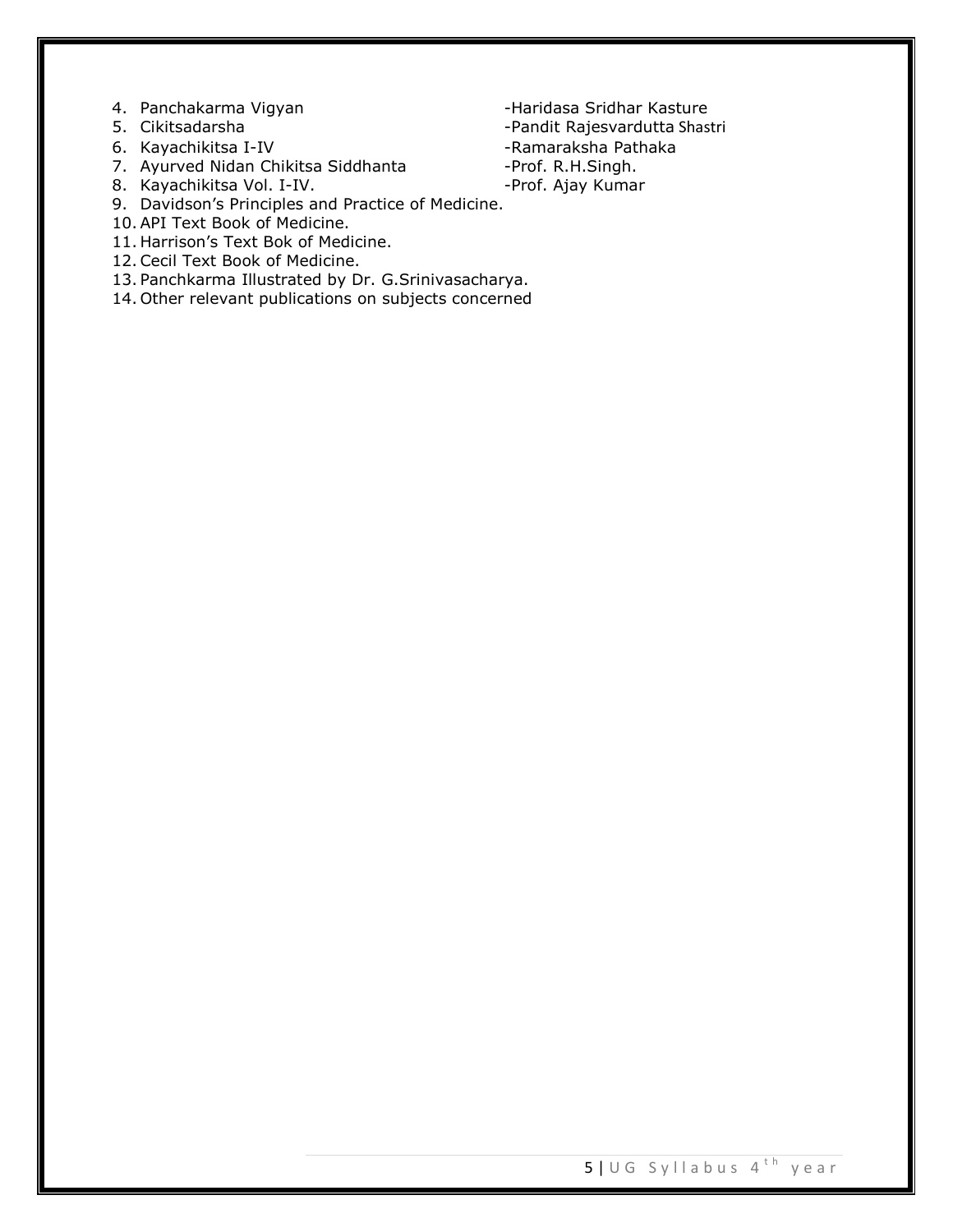- 4. Panchakarma Vigyan The Basic Charidasa Sridhar Kasture
- 
- 
- 7. Ayurved Nidan Chikitsa Siddhanta -Prof. R.H.Singh.
- 8. Kayachikitsa Vol. I-IV. **-Prof. Ajay Kumar**
- 9. Davidson's Principles and Practice of Medicine.
- 10.API Text Book of Medicine.
- 11. Harrison's Text Bok of Medicine.
- 12.Cecil Text Book of Medicine.
- 13. Panchkarma Illustrated by Dr. G.Srinivasacharya.
- 14. Other relevant publications on subjects concerned
- 5. Cikitsadarsha Shane Pandit Rajesvardutta Shastri Shane Pandit Rajesvardutta Shastri Shane Shane Ramaraksha Pathaka -Ramaraksha Pathaka
	-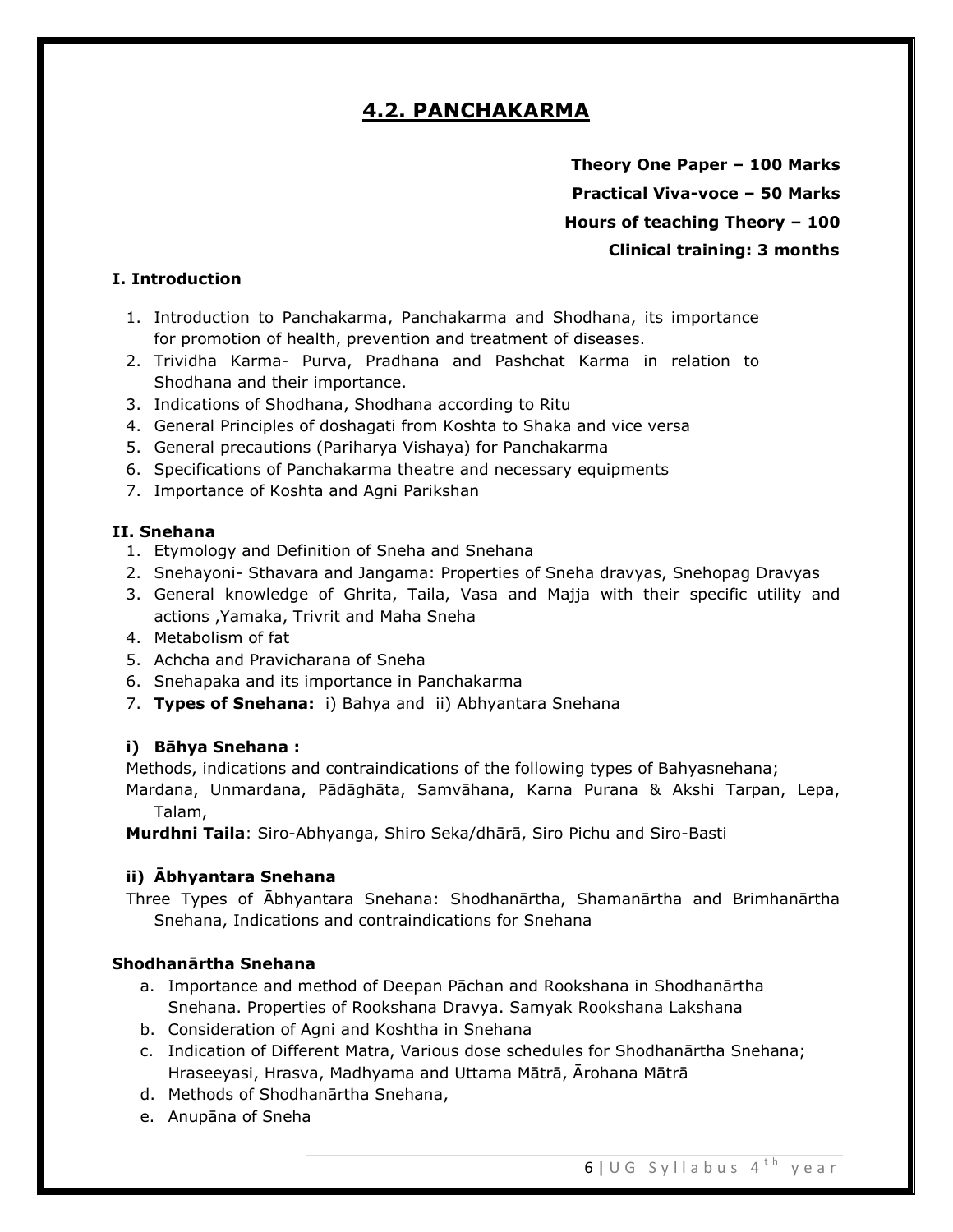# **4.2. PANCHAKARMA**

**Theory One Paper – 100 Marks Practical Viva-voce – 50 Marks Hours of teaching Theory – 100 Clinical training: 3 months**

# **I. Introduction**

- 1. Introduction to Panchakarma, Panchakarma and Shodhana, its importance for promotion of health, prevention and treatment of diseases.
- 2. Trividha Karma- Purva, Pradhana and Pashchat Karma in relation to Shodhana and their importance.
- 3. Indications of Shodhana, Shodhana according to Ritu
- 4. General Principles of doshagati from Koshta to Shaka and vice versa
- 5. General precautions (Pariharya Vishaya) for Panchakarma
- 6. Specifications of Panchakarma theatre and necessary equipments
- 7. Importance of Koshta and Agni Parikshan

## **II. Snehana**

- 1. Etymology and Definition of Sneha and Snehana
- 2. Snehayoni- Sthavara and Jangama: Properties of Sneha dravyas, Snehopag Dravyas
- 3. General knowledge of Ghrita, Taila, Vasa and Majja with their specific utility and actions ,Yamaka, Trivrit and Maha Sneha
- 4. Metabolism of fat
- 5. Achcha and Pravicharana of Sneha
- 6. Snehapaka and its importance in Panchakarma
- 7. **Types of Snehana:** i) Bahya and ii) Abhyantara Snehana

### **i) Bāhya Snehana :**

Methods, indications and contraindications of the following types of Bahyasnehana;

Mardana, Unmardana, Pādāghāta, Samvāhana, Karna Purana & Akshi Tarpan, Lepa, Talam,

**Murdhni Taila**: Siro-Abhyanga, Shiro Seka/dhārā, Siro Pichu and Siro-Basti

### **ii) Ābhyantara Snehana**

Three Types of Ābhyantara Snehana: Shodhanārtha, Shamanārtha and Brimhanārtha Snehana, Indications and contraindications for Snehana

### **Shodhanārtha Snehana**

- a. Importance and method of Deepan Pāchan and Rookshana in Shodhanārtha Snehana. Properties of Rookshana Dravya. Samyak Rookshana Lakshana
- b. Consideration of Agni and Koshtha in Snehana
- c. Indication of Different Matra, Various dose schedules for Shodhanārtha Snehana; Hraseeyasi, Hrasva, Madhyama and Uttama Mātrā, Ārohana Mātrā
- d. Methods of Shodhanārtha Snehana,
- e. Anupāna of Sneha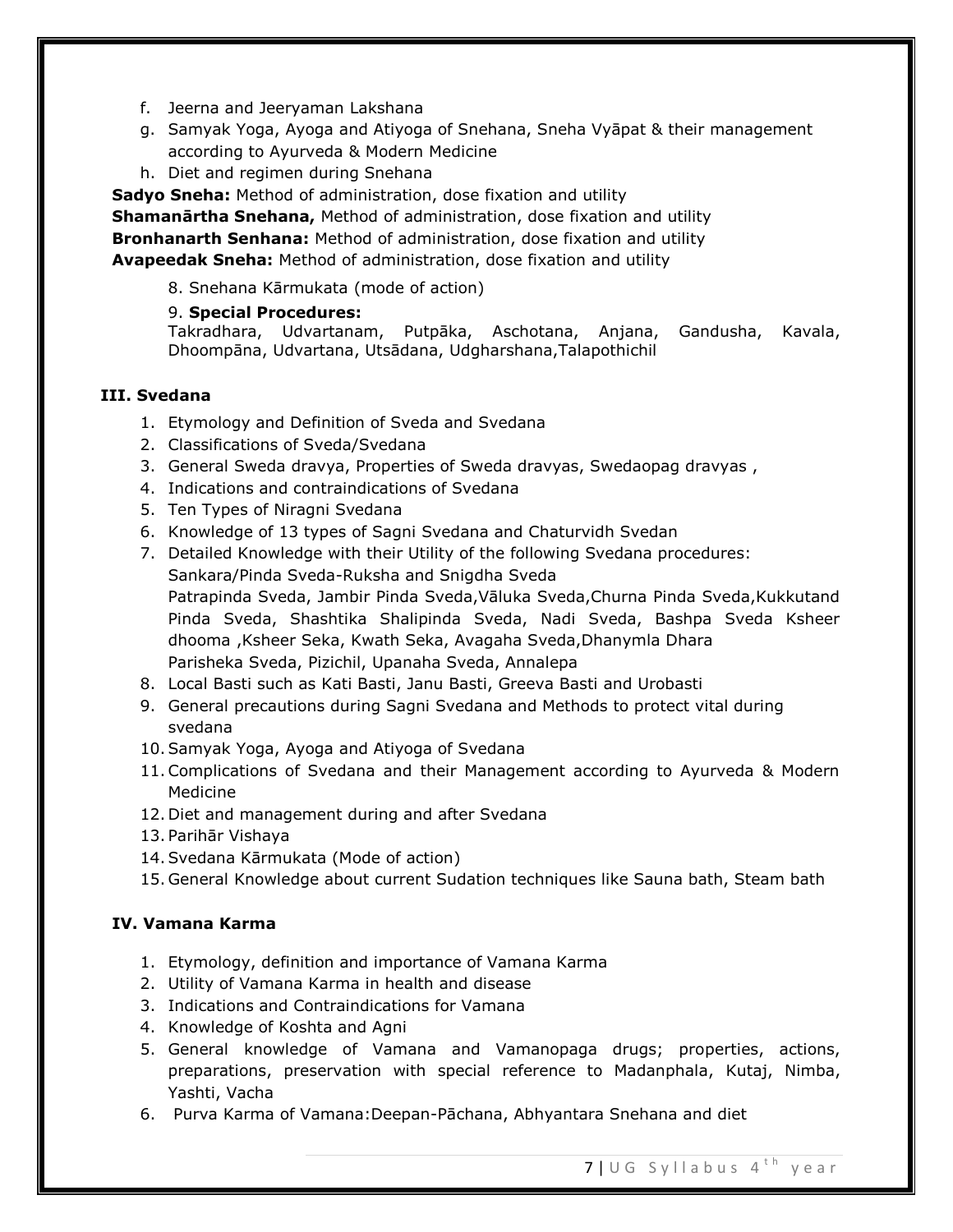- f. Jeerna and Jeeryaman Lakshana
- g. Samyak Yoga, Ayoga and Atiyoga of Snehana, Sneha Vyāpat & their management according to Ayurveda & Modern Medicine
- h. Diet and regimen during Snehana

**Sadyo Sneha:** Method of administration, dose fixation and utility **Shamanārtha Snehana,** Method of administration, dose fixation and utility **Bronhanarth Senhana:** Method of administration, dose fixation and utility **Avapeedak Sneha:** Method of administration, dose fixation and utility

8. Snehana Kārmukata (mode of action)

# 9. **Special Procedures:**

Takradhara, Udvartanam, Putpāka, Aschotana, Anjana, Gandusha, Kavala, Dhoompāna, Udvartana, Utsādana, Udgharshana,Talapothichil

# **III. Svedana**

- 1. Etymology and Definition of Sveda and Svedana
- 2. Classifications of Sveda/Svedana
- 3. General Sweda dravya, Properties of Sweda dravyas, Swedaopag dravyas ,
- 4. Indications and contraindications of Svedana
- 5. Ten Types of Niragni Svedana
- 6. Knowledge of 13 types of Sagni Svedana and Chaturvidh Svedan
- 7. Detailed Knowledge with their Utility of the following Svedana procedures: Sankara/Pinda Sveda-Ruksha and Snigdha Sveda Patrapinda Sveda, Jambir Pinda Sveda,Vāluka Sveda,Churna Pinda Sveda,Kukkutand Pinda Sveda, Shashtika Shalipinda Sveda, Nadi Sveda, Bashpa Sveda Ksheer dhooma ,Ksheer Seka, Kwath Seka, Avagaha Sveda,Dhanymla Dhara Parisheka Sveda, Pizichil, Upanaha Sveda, Annalepa
- 8. Local Basti such as Kati Basti, Janu Basti, Greeva Basti and Urobasti
- 9. General precautions during Sagni Svedana and Methods to protect vital during svedana
- 10.Samyak Yoga, Ayoga and Atiyoga of Svedana
- 11.Complications of Svedana and their Management according to Ayurveda & Modern Medicine
- 12. Diet and management during and after Svedana
- 13. Parihār Vishaya
- 14.Svedana Kārmukata (Mode of action)
- 15. General Knowledge about current Sudation techniques like Sauna bath, Steam bath

# **IV. Vamana Karma**

- 1. Etymology, definition and importance of Vamana Karma
- 2. Utility of Vamana Karma in health and disease
- 3. Indications and Contraindications for Vamana
- 4. Knowledge of Koshta and Agni
- 5. General knowledge of Vamana and Vamanopaga drugs; properties, actions, preparations, preservation with special reference to Madanphala, Kutaj, Nimba, Yashti, Vacha
- 6. Purva Karma of Vamana:Deepan-Pāchana, Abhyantara Snehana and diet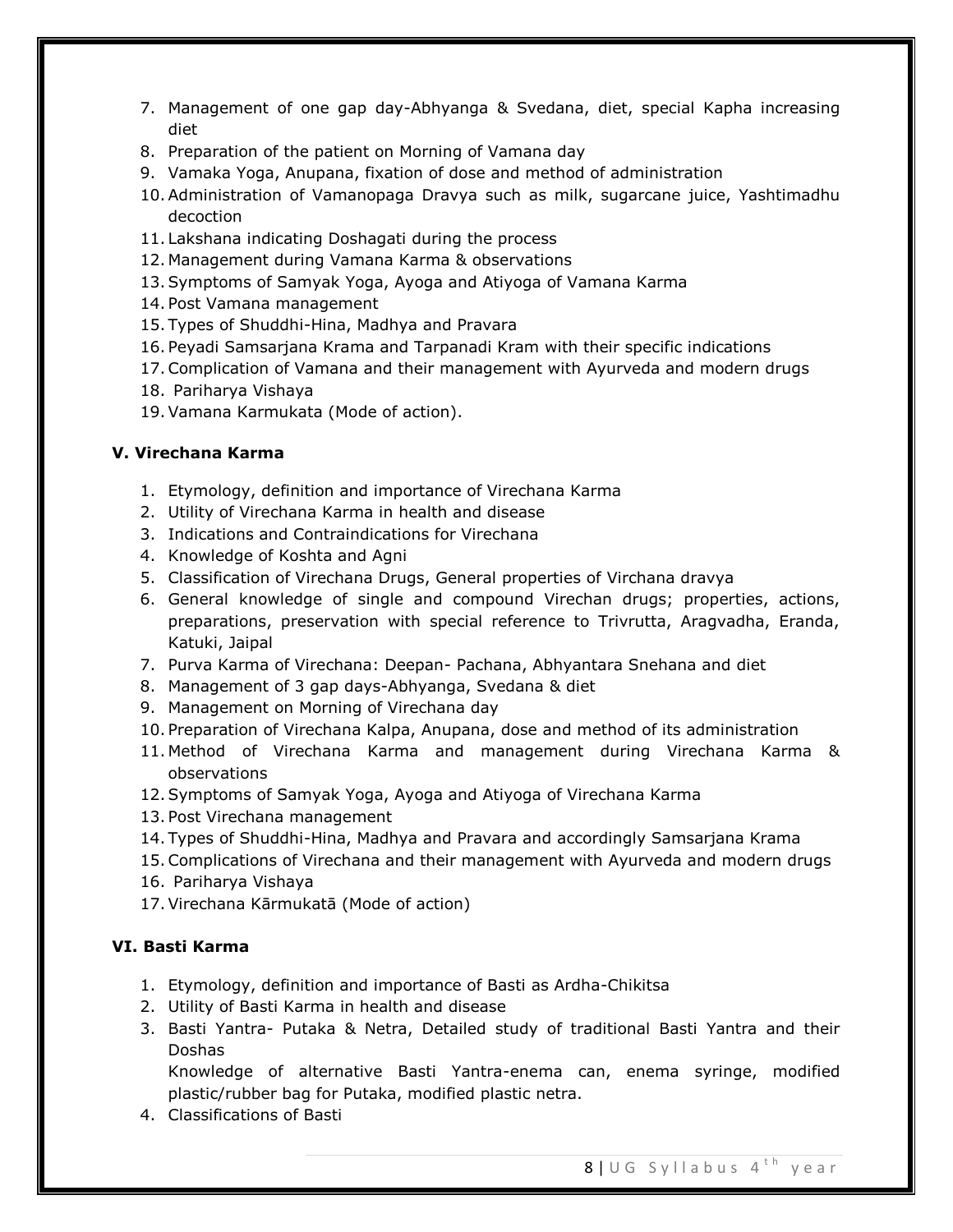- 7. Management of one gap day-Abhyanga & Svedana, diet, special Kapha increasing diet
- 8. Preparation of the patient on Morning of Vamana day
- 9. Vamaka Yoga, Anupana, fixation of dose and method of administration
- 10.Administration of Vamanopaga Dravya such as milk, sugarcane juice, Yashtimadhu decoction
- 11. Lakshana indicating Doshagati during the process
- 12. Management during Vamana Karma & observations
- 13.Symptoms of Samyak Yoga, Ayoga and Atiyoga of Vamana Karma
- 14. Post Vamana management
- 15. Types of Shuddhi-Hina, Madhya and Pravara
- 16. Peyadi Samsarjana Krama and Tarpanadi Kram with their specific indications
- 17.Complication of Vamana and their management with Ayurveda and modern drugs
- 18. Pariharya Vishaya
- 19.Vamana Karmukata (Mode of action).

# **V. Virechana Karma**

- 1. Etymology, definition and importance of Virechana Karma
- 2. Utility of Virechana Karma in health and disease
- 3. Indications and Contraindications for Virechana
- 4. Knowledge of Koshta and Agni
- 5. Classification of Virechana Drugs, General properties of Virchana dravya
- 6. General knowledge of single and compound Virechan drugs; properties, actions, preparations, preservation with special reference to Trivrutta, Aragvadha, Eranda, Katuki, Jaipal
- 7. Purva Karma of Virechana: Deepan- Pachana, Abhyantara Snehana and diet
- 8. Management of 3 gap days-Abhyanga, Svedana & diet
- 9. Management on Morning of Virechana day
- 10. Preparation of Virechana Kalpa, Anupana, dose and method of its administration
- 11. Method of Virechana Karma and management during Virechana Karma & observations
- 12.Symptoms of Samyak Yoga, Ayoga and Atiyoga of Virechana Karma
- 13. Post Virechana management
- 14. Types of Shuddhi-Hina, Madhya and Pravara and accordingly Samsarjana Krama
- 15.Complications of Virechana and their management with Ayurveda and modern drugs
- 16. Pariharya Vishaya
- 17.Virechana Kārmukatā (Mode of action)

# **VI. Basti Karma**

- 1. Etymology, definition and importance of Basti as Ardha-Chikitsa
- 2. Utility of Basti Karma in health and disease
- 3. Basti Yantra- Putaka & Netra, Detailed study of traditional Basti Yantra and their Doshas

Knowledge of alternative Basti Yantra-enema can, enema syringe, modified plastic/rubber bag for Putaka, modified plastic netra.

4. Classifications of Basti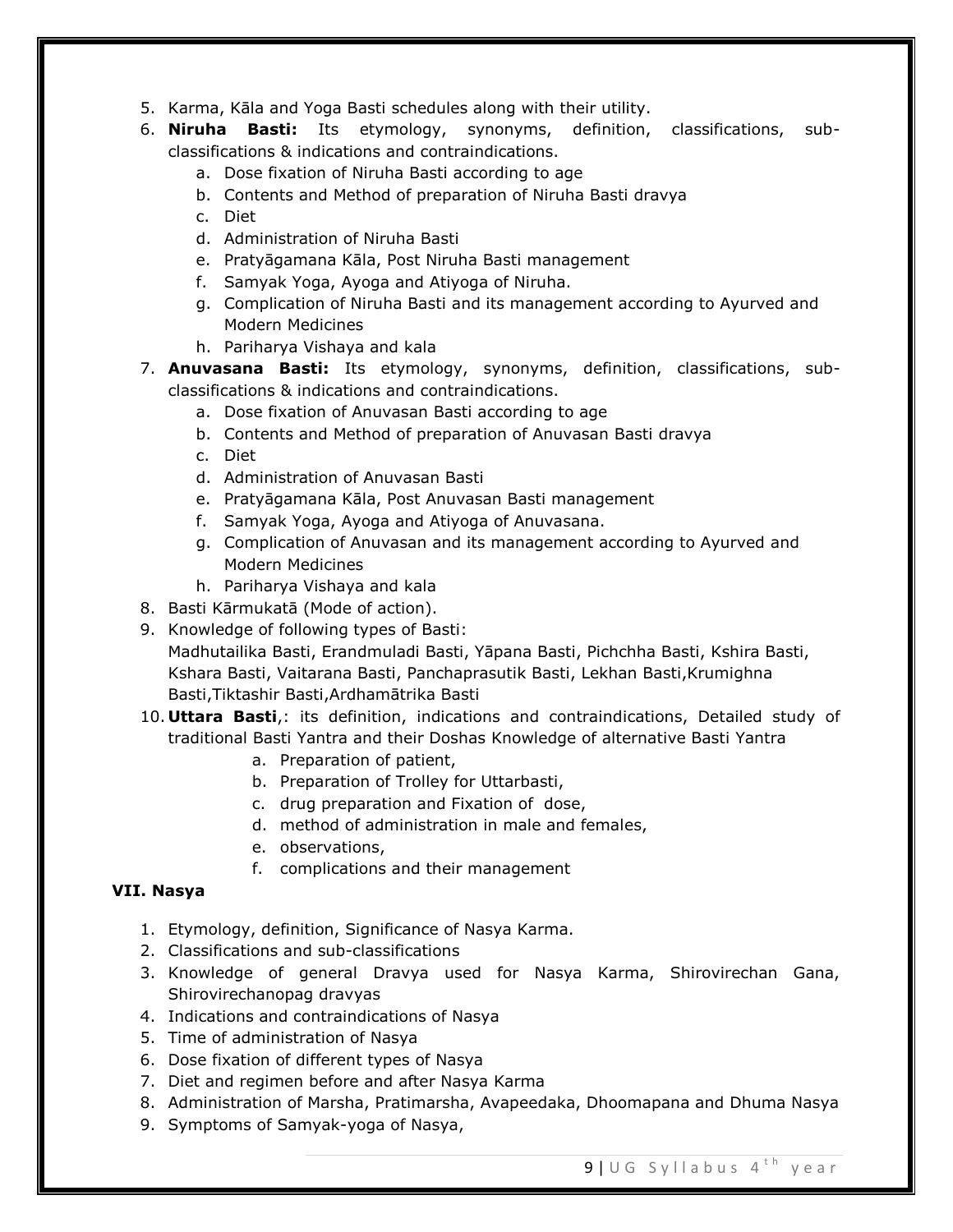- 5. Karma, Kāla and Yoga Basti schedules along with their utility.
- 6. **Niruha Basti:** Its etymology, synonyms, definition, classifications, subclassifications & indications and contraindications.
	- a. Dose fixation of Niruha Basti according to age
	- b. Contents and Method of preparation of Niruha Basti dravya
	- c. Diet
	- d. Administration of Niruha Basti
	- e. Pratyāgamana Kāla, Post Niruha Basti management
	- f. Samyak Yoga, Ayoga and Atiyoga of Niruha.
	- g. Complication of Niruha Basti and its management according to Ayurved and Modern Medicines
	- h. Pariharya Vishaya and kala
- 7. **Anuvasana Basti:** Its etymology, synonyms, definition, classifications, subclassifications & indications and contraindications.
	- a. Dose fixation of Anuvasan Basti according to age
	- b. Contents and Method of preparation of Anuvasan Basti dravya
	- c. Diet
	- d. Administration of Anuvasan Basti
	- e. Pratyāgamana Kāla, Post Anuvasan Basti management
	- f. Samyak Yoga, Ayoga and Atiyoga of Anuvasana.
	- g. Complication of Anuvasan and its management according to Ayurved and Modern Medicines
	- h. Pariharya Vishaya and kala
- 8. Basti Kārmukatā (Mode of action).
- 9. Knowledge of following types of Basti: Madhutailika Basti, Erandmuladi Basti, Yāpana Basti, Pichchha Basti, Kshira Basti, Kshara Basti, Vaitarana Basti, Panchaprasutik Basti, Lekhan Basti,Krumighna Basti,Tiktashir Basti,Ardhamātrika Basti
- 10. **Uttara Basti**,: its definition, indications and contraindications, Detailed study of traditional Basti Yantra and their Doshas Knowledge of alternative Basti Yantra
	- a. Preparation of patient,
	- b. Preparation of Trolley for Uttarbasti,
	- c. drug preparation and Fixation of dose,
	- d. method of administration in male and females,
	- e. observations,
	- f. complications and their management

# **VII. Nasya**

- 1. Etymology, definition, Significance of Nasya Karma.
- 2. Classifications and sub-classifications
- 3. Knowledge of general Dravya used for Nasya Karma, Shirovirechan Gana, Shirovirechanopag dravyas
- 4. Indications and contraindications of Nasya
- 5. Time of administration of Nasya
- 6. Dose fixation of different types of Nasya
- 7. Diet and regimen before and after Nasya Karma
- 8. Administration of Marsha, Pratimarsha, Avapeedaka, Dhoomapana and Dhuma Nasya
- 9. Symptoms of Samyak-yoga of Nasya,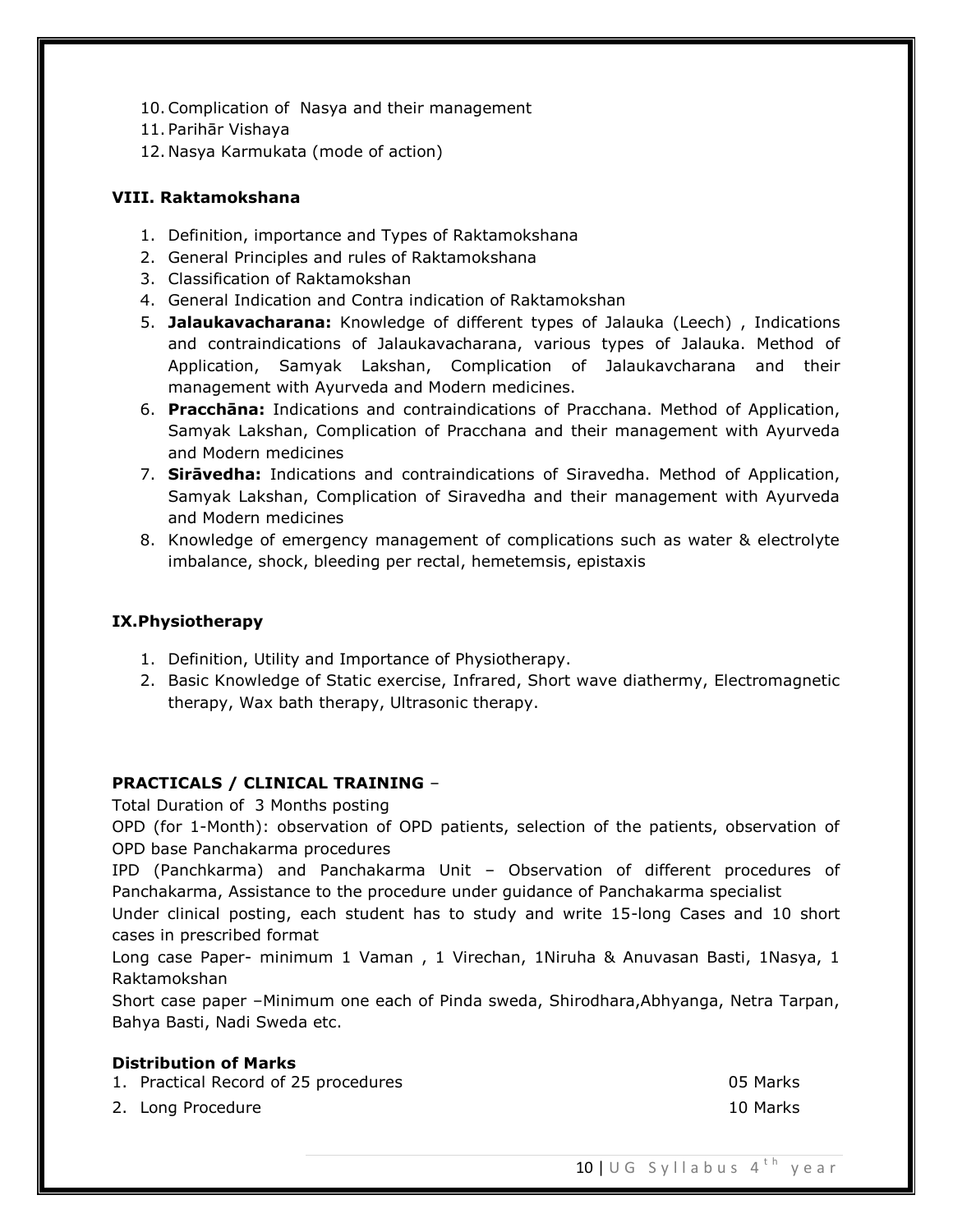- 10.Complication of Nasya and their management
- 11. Parihār Vishaya
- 12. Nasya Karmukata (mode of action)

# **VIII. Raktamokshana**

- 1. Definition, importance and Types of Raktamokshana
- 2. General Principles and rules of Raktamokshana
- 3. Classification of Raktamokshan
- 4. General Indication and Contra indication of Raktamokshan
- 5. **Jalaukavacharana:** Knowledge of different types of Jalauka (Leech) , Indications and contraindications of Jalaukavacharana, various types of Jalauka. Method of Application, Samyak Lakshan, Complication of Jalaukavcharana and their management with Ayurveda and Modern medicines.
- 6. **Pracchāna:** Indications and contraindications of Pracchana. Method of Application, Samyak Lakshan, Complication of Pracchana and their management with Ayurveda and Modern medicines
- 7. **Sirāvedha:** Indications and contraindications of Siravedha. Method of Application, Samyak Lakshan, Complication of Siravedha and their management with Ayurveda and Modern medicines
- 8. Knowledge of emergency management of complications such as water & electrolyte imbalance, shock, bleeding per rectal, hemetemsis, epistaxis

# **IX.Physiotherapy**

- 1. Definition, Utility and Importance of Physiotherapy.
- 2. Basic Knowledge of Static exercise, Infrared, Short wave diathermy, Electromagnetic therapy, Wax bath therapy, Ultrasonic therapy.

# **PRACTICALS / CLINICAL TRAINING** –

Total Duration of 3 Months posting

OPD (for 1-Month): observation of OPD patients, selection of the patients, observation of OPD base Panchakarma procedures

IPD (Panchkarma) and Panchakarma Unit – Observation of different procedures of Panchakarma, Assistance to the procedure under guidance of Panchakarma specialist

Under clinical posting, each student has to study and write 15-long Cases and 10 short cases in prescribed format

Long case Paper- minimum 1 Vaman , 1 Virechan, 1Niruha & Anuvasan Basti, 1Nasya, 1 Raktamokshan

Short case paper –Minimum one each of Pinda sweda, Shirodhara,Abhyanga, Netra Tarpan, Bahya Basti, Nadi Sweda etc.

### **Distribution of Marks**

1. Practical Record of 25 procedures 05 Marks 2. Long Procedure 2012 10 Marks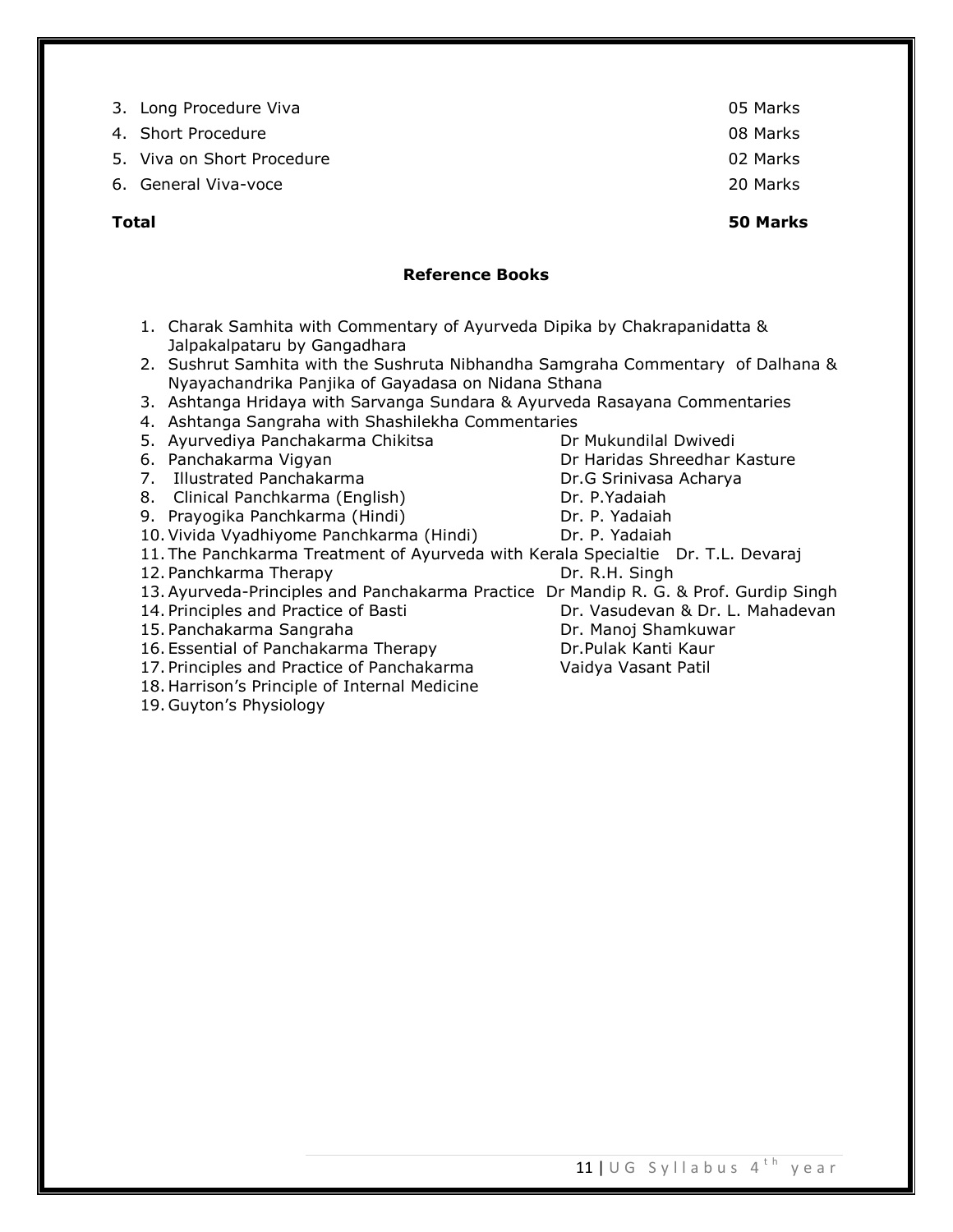- 3. Long Procedure Viva **05 Marks** 2014 12:00 12:00 12:00 12:00 12:00 12:00 12:00 12:00 12:00 12:00 12:00 12:00 12:00 12:00 12:00 12:00 12:00 12:00 12:00 12:00 12:00 12:00 12:00 12:00 12:00 12:00 12:00 12:00 12:00 12:00 12:
- 4. Short Procedure 08 Marks
- 5. Viva on Short Procedure 02 Marks 02 Marks
- 6. General Viva-voce 20 Marks
- 

# **Reference Books**

- 1. Charak Samhita with Commentary of Ayurveda Dipika by Chakrapanidatta & Jalpakalpataru by Gangadhara
- 2. Sushrut Samhita with the Sushruta Nibhandha Samgraha Commentary of Dalhana & Nyayachandrika Panjika of Gayadasa on Nidana Sthana
- 3. Ashtanga Hridaya with Sarvanga Sundara & Ayurveda Rasayana Commentaries
- 4. Ashtanga Sangraha with Shashilekha Commentaries
- 5. Ayurvediya Panchakarma Chikitsa **Dreamacha Dreamacha Duri**ty Dreamachash Dwivedi
- 6. Panchakarma Vigyan Dr Haridas Shreedhar Kasture
- 7. Illustrated Panchakarma Dr.G Srinivasa Acharya
- 8. Clinical Panchkarma (English) Dr. P.Yadaiah
- 9. Prayogika Panchkarma (Hindi) Dr. P. Yadaiah
- 10.Vivida Vyadhiyome Panchkarma (Hindi) Dr. P. Yadaiah
- 11. The Panchkarma Treatment of Ayurveda with Kerala Specialtie Dr. T.L. Devaraj
- 12. Panchkarma Therapy Dr. R.H. Singh
- 13.Ayurveda-Principles and Panchakarma Practice Dr Mandip R. G. & Prof. Gurdip Singh
- 
- 15. Panchakarma Sangraha Dr. Manoj Shamkuwar
- 16. Essential of Panchakarma Therapy **Dr.Pulak Kanti Kaur**
- 17. Principles and Practice of Panchakarma Vaidya Vasant Patil
- 18. Harrison's Principle of Internal Medicine
- 19. Guyton's Physiology
- 
- 14. Principles and Practice of Basti Dr. Vasudevan & Dr. L. Mahadevan
	-
- -
	-

**Total 50 Marks**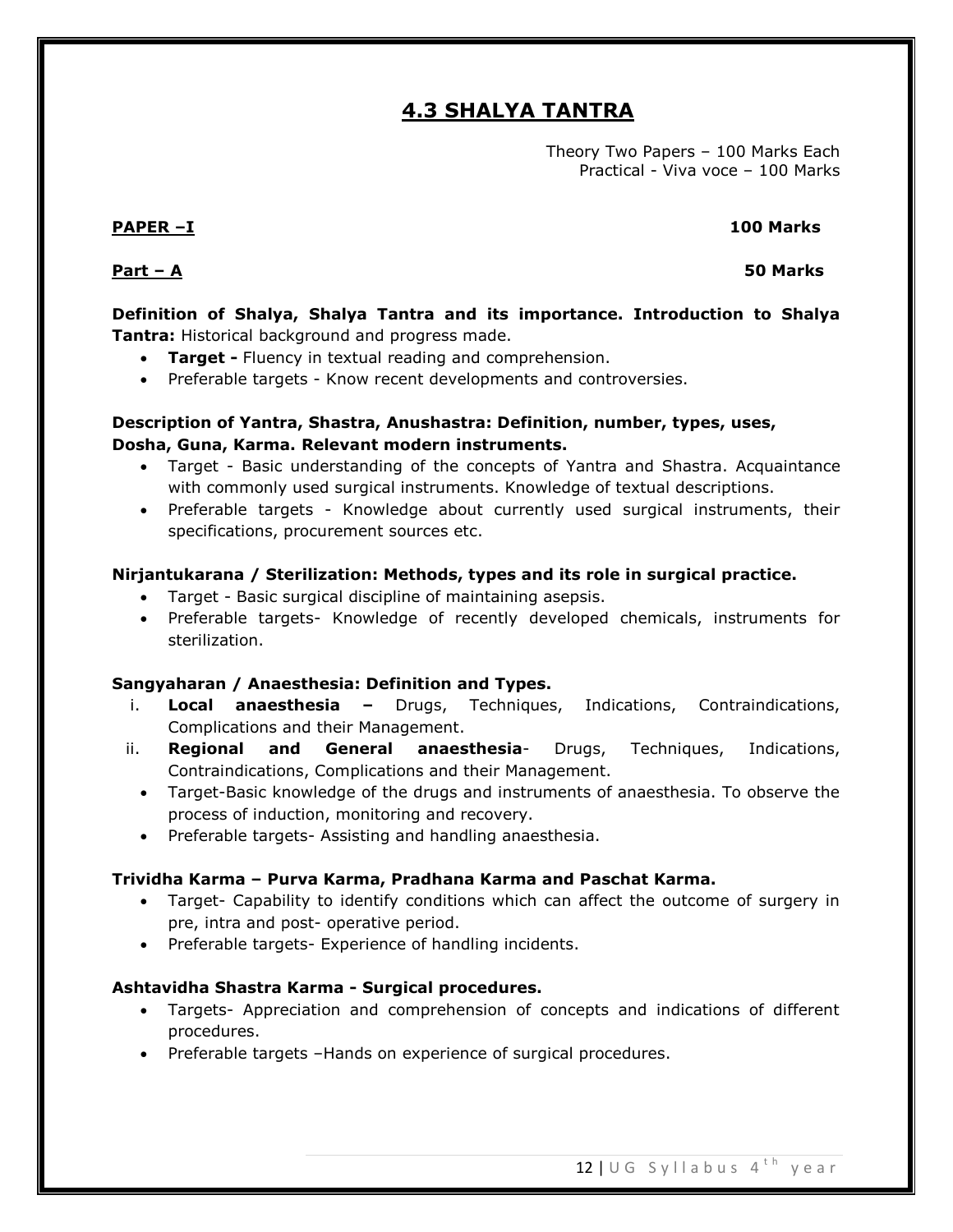# **4.3 SHALYA TANTRA**

Theory Two Papers – 100 Marks Each Practical - Viva voce – 100 Marks

# **PAPER –I 100 Marks**

## **Part – A 50 Marks**

**Definition of Shalya, Shalya Tantra and its importance. Introduction to Shalya Tantra:** Historical background and progress made.

- **Target -** Fluency in textual reading and comprehension.
- Preferable targets Know recent developments and controversies.

# **Description of Yantra, Shastra, Anushastra: Definition, number, types, uses, Dosha, Guna, Karma. Relevant modern instruments.**

- Target Basic understanding of the concepts of Yantra and Shastra. Acquaintance with commonly used surgical instruments. Knowledge of textual descriptions.
- Preferable targets Knowledge about currently used surgical instruments, their specifications, procurement sources etc.

# **Nirjantukarana / Sterilization: Methods, types and its role in surgical practice.**

- Target Basic surgical discipline of maintaining asepsis.
- Preferable targets- Knowledge of recently developed chemicals, instruments for sterilization.

### **Sangyaharan / Anaesthesia: Definition and Types.**

- i. **Local anaesthesia –** Drugs, Techniques, Indications, Contraindications, Complications and their Management.
- ii. **Regional and General anaesthesia** Drugs, Techniques, Indications, Contraindications, Complications and their Management.
	- Target-Basic knowledge of the drugs and instruments of anaesthesia. To observe the process of induction, monitoring and recovery.
	- Preferable targets- Assisting and handling anaesthesia.

### **Trividha Karma – Purva Karma, Pradhana Karma and Paschat Karma.**

- Target- Capability to identify conditions which can affect the outcome of surgery in pre, intra and post- operative period.
- Preferable targets- Experience of handling incidents.

### **Ashtavidha Shastra Karma - Surgical procedures.**

- Targets- Appreciation and comprehension of concepts and indications of different procedures.
- Preferable targets -Hands on experience of surgical procedures.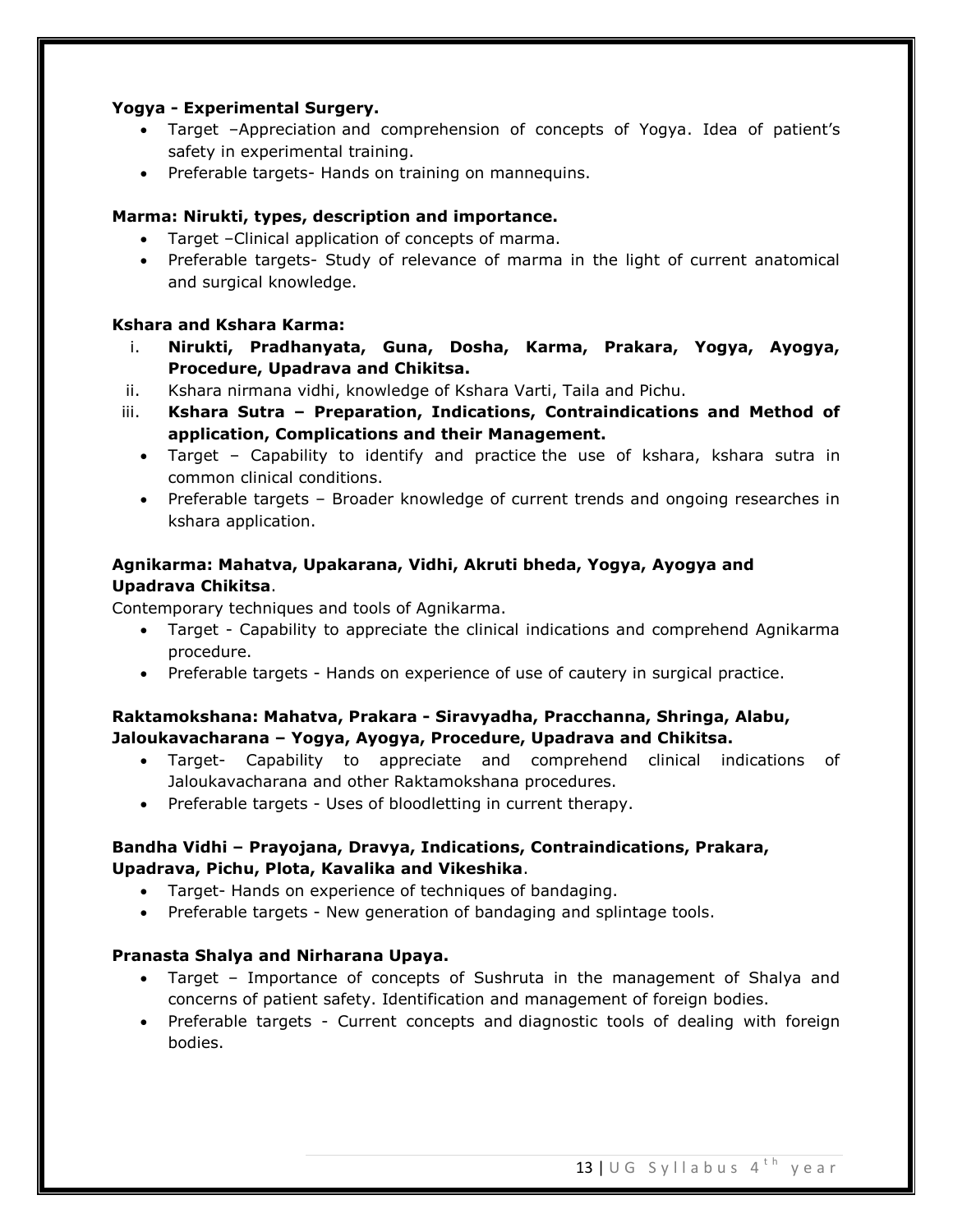# **Yogya - Experimental Surgery.**

- Target –Appreciation and comprehension of concepts of Yogya. Idea of patient's safety in experimental training.
- Preferable targets- Hands on training on mannequins.

# **Marma: Nirukti, types, description and importance.**

- Target –Clinical application of concepts of marma.
- Preferable targets- Study of relevance of marma in the light of current anatomical and surgical knowledge.

# **Kshara and Kshara Karma:**

- i. **Nirukti, Pradhanyata, Guna, Dosha, Karma, Prakara, Yogya, Ayogya, Procedure, Upadrava and Chikitsa.**
- ii. Kshara nirmana vidhi, knowledge of Kshara Varti, Taila and Pichu.
- iii. **Kshara Sutra – Preparation, Indications, Contraindications and Method of application, Complications and their Management.**
	- Target Capability to identify and practice the use of kshara, kshara sutra in common clinical conditions.
	- Preferable targets Broader knowledge of current trends and ongoing researches in kshara application.

# **Agnikarma: Mahatva, Upakarana, Vidhi, Akruti bheda, Yogya, Ayogya and Upadrava Chikitsa**.

Contemporary techniques and tools of Agnikarma.

- Target Capability to appreciate the clinical indications and comprehend Agnikarma procedure.
- Preferable targets Hands on experience of use of cautery in surgical practice.

# **Raktamokshana: Mahatva, Prakara - Siravyadha, Pracchanna, Shringa, Alabu, Jaloukavacharana – Yogya, Ayogya, Procedure, Upadrava and Chikitsa.**

- Target- Capability to appreciate and comprehend clinical indications of Jaloukavacharana and other Raktamokshana procedures.
- Preferable targets Uses of bloodletting in current therapy.

# **Bandha Vidhi – Prayojana, Dravya, Indications, Contraindications, Prakara, Upadrava, Pichu, Plota, Kavalika and Vikeshika**.

- Target- Hands on experience of techniques of bandaging.
- Preferable targets New generation of bandaging and splintage tools.

# **Pranasta Shalya and Nirharana Upaya.**

- Target Importance of concepts of Sushruta in the management of Shalya and concerns of patient safety. Identification and management of foreign bodies.
- Preferable targets Current concepts and diagnostic tools of dealing with foreign bodies.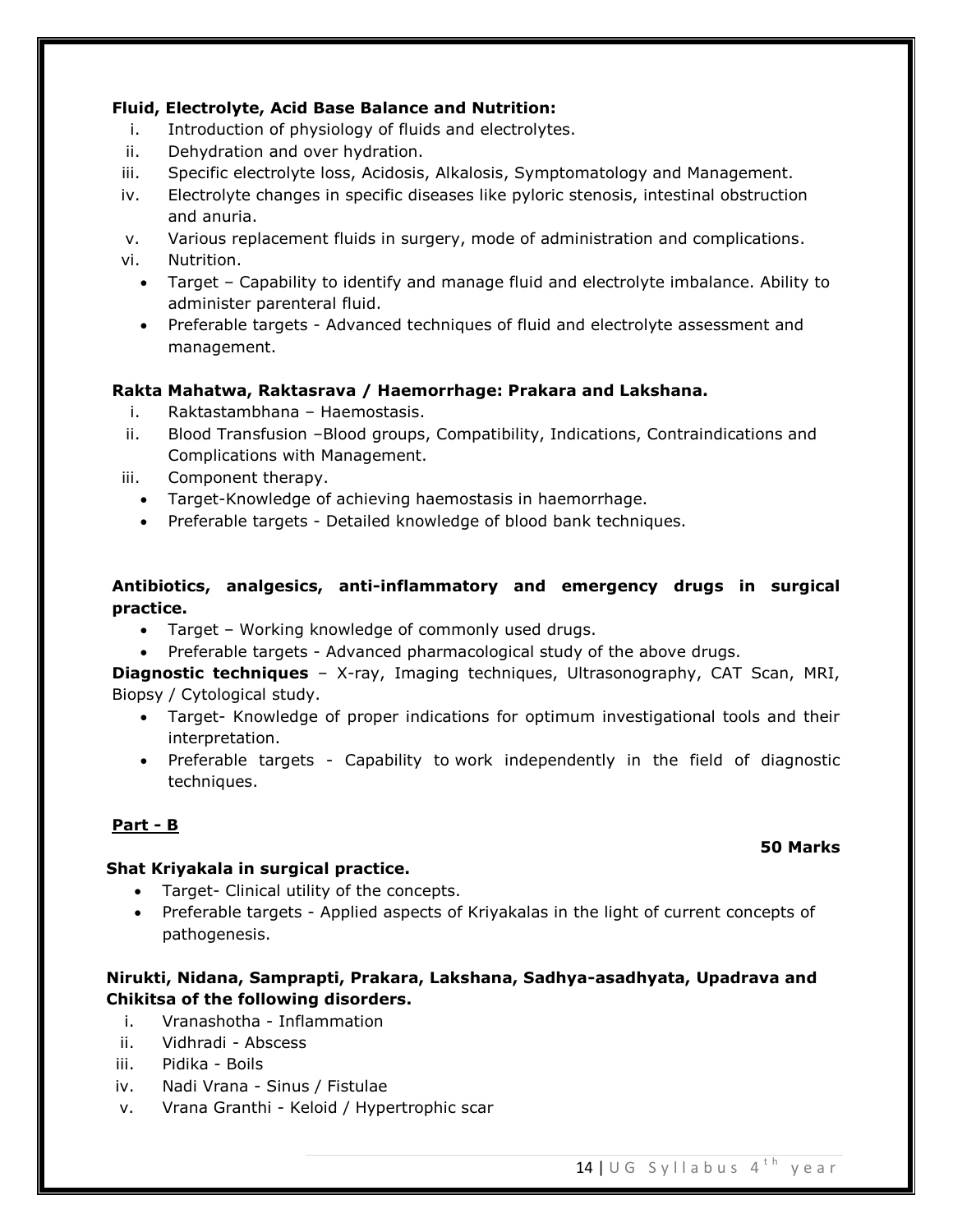# **Fluid, Electrolyte, Acid Base Balance and Nutrition:**

- i. Introduction of physiology of fluids and electrolytes.
- ii. Dehydration and over hydration.
- iii. Specific electrolyte loss, Acidosis, Alkalosis, Symptomatology and Management.
- iv. Electrolyte changes in specific diseases like pyloric stenosis, intestinal obstruction and anuria.

v. Various replacement fluids in surgery, mode of administration and complications. vi. Nutrition.

- Target Capability to identify and manage fluid and electrolyte imbalance. Ability to administer parenteral fluid.
- Preferable targets Advanced techniques of fluid and electrolyte assessment and management.

# **Rakta Mahatwa, Raktasrava / Haemorrhage: Prakara and Lakshana.**

- i. Raktastambhana Haemostasis.
- ii. Blood Transfusion –Blood groups, Compatibility, Indications, Contraindications and Complications with Management.
- iii. Component therapy.
	- Target-Knowledge of achieving haemostasis in haemorrhage.
	- Preferable targets Detailed knowledge of blood bank techniques.

# **Antibiotics, analgesics, anti-inflammatory and emergency drugs in surgical practice.**

- Target Working knowledge of commonly used drugs.
- Preferable targets Advanced pharmacological study of the above drugs.

**Diagnostic techniques** – X-ray, Imaging techniques, Ultrasonography, CAT Scan, MRI, Biopsy / Cytological study.

- Target- Knowledge of proper indications for optimum investigational tools and their interpretation.
- Preferable targets Capability to work independently in the field of diagnostic techniques.

# **Part - B**

### **Shat Kriyakala in surgical practice.**

- Target- Clinical utility of the concepts.
- Preferable targets Applied aspects of Kriyakalas in the light of current concepts of pathogenesis.

# **Nirukti, Nidana, Samprapti, Prakara, Lakshana, Sadhya-asadhyata, Upadrava and Chikitsa of the following disorders.**

- i. Vranashotha Inflammation
- ii. Vidhradi Abscess
- iii. Pidika Boils
- iv. Nadi Vrana Sinus / Fistulae
- v. Vrana Granthi Keloid / Hypertrophic scar

### **50 Marks**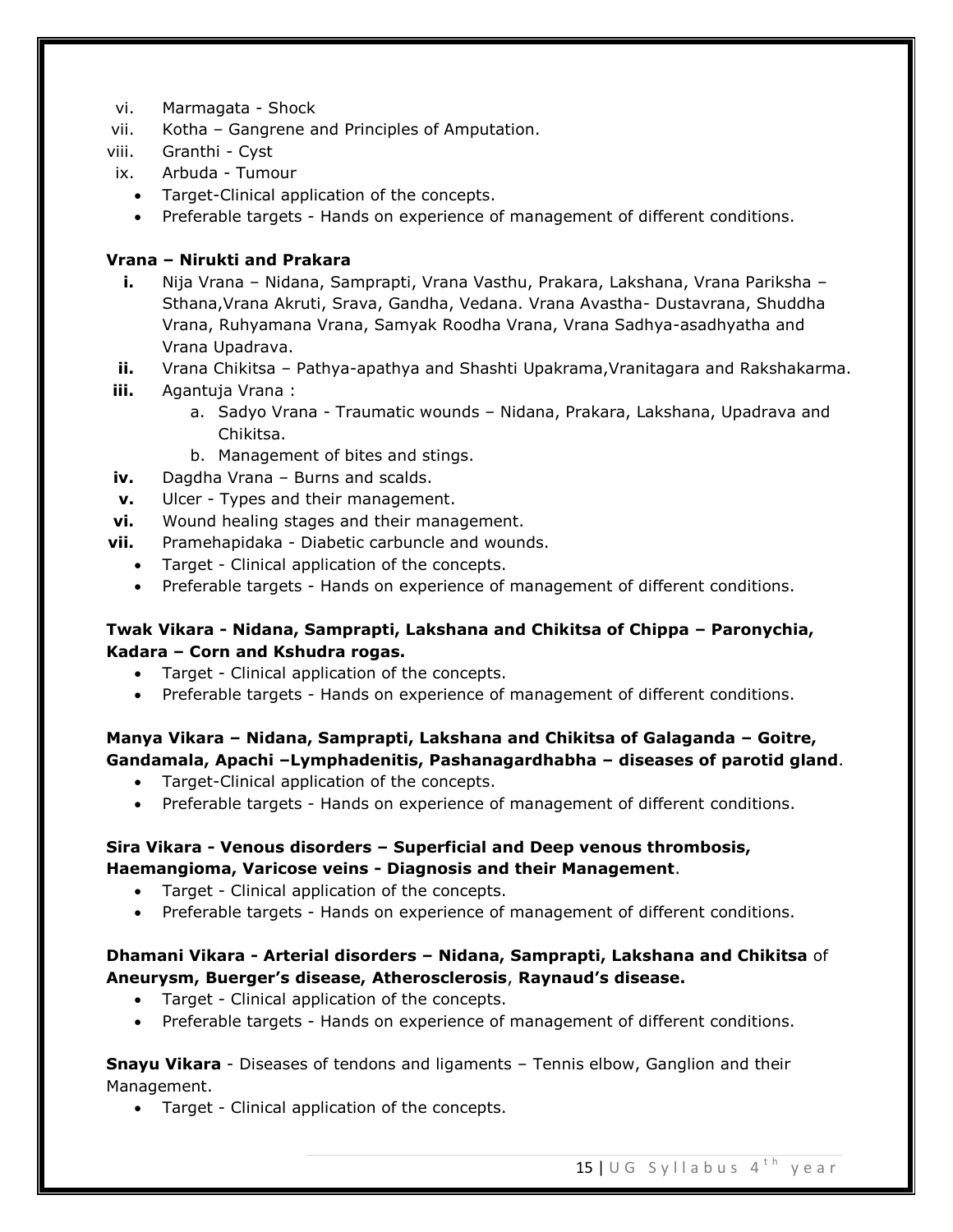- vi. Marmagata Shock
- vii. Kotha Gangrene and Principles of Amputation.

viii. Granthi - Cyst

- ix. Arbuda Tumour
	- Target-Clinical application of the concepts.
	- Preferable targets Hands on experience of management of different conditions.

# **Vrana – Nirukti and Prakara**

- **i.** Nija Vrana Nidana, Samprapti, Vrana Vasthu, Prakara, Lakshana, Vrana Pariksha Sthana,Vrana Akruti, Srava, Gandha, Vedana. Vrana Avastha- Dustavrana, Shuddha Vrana, Ruhyamana Vrana, Samyak Roodha Vrana, Vrana Sadhya-asadhyatha and Vrana Upadrava.
- **ii.** Vrana Chikitsa Pathya-apathya and Shashti Upakrama, Vranitagara and Rakshakarma.
- **iii.** Agantuja Vrana :
	- a. Sadyo Vrana Traumatic wounds Nidana, Prakara, Lakshana, Upadrava and Chikitsa.
	- b. Management of bites and stings.
- **iv.** Dagdha Vrana Burns and scalds.
- **v.** Ulcer Types and their management.
- **vi.** Wound healing stages and their management.
- **vii.** Pramehapidaka Diabetic carbuncle and wounds.
	- Target Clinical application of the concepts.
	- Preferable targets Hands on experience of management of different conditions.

# **Twak Vikara - Nidana, Samprapti, Lakshana and Chikitsa of Chippa – Paronychia, Kadara – Corn and Kshudra rogas.**

- Target Clinical application of the concepts.
- Preferable targets Hands on experience of management of different conditions.

# **Manya Vikara – Nidana, Samprapti, Lakshana and Chikitsa of Galaganda – Goitre, Gandamala, Apachi –Lymphadenitis, Pashanagardhabha – diseases of parotid gland**.

- Target-Clinical application of the concepts.
- Preferable targets Hands on experience of management of different conditions.

# **Sira Vikara - Venous disorders – Superficial and Deep venous thrombosis, Haemangioma, Varicose veins - Diagnosis and their Management**.

- Target Clinical application of the concepts.
- Preferable targets Hands on experience of management of different conditions.

# **Dhamani Vikara - Arterial disorders – Nidana, Samprapti, Lakshana and Chikitsa** of **Aneurysm, Buerger's disease, Atherosclerosis**, **Raynaud's disease.**

- Target Clinical application of the concepts.
- Preferable targets Hands on experience of management of different conditions.

# **Snayu Vikara** - Diseases of tendons and ligaments – Tennis elbow, Ganglion and their Management.

Target - Clinical application of the concepts.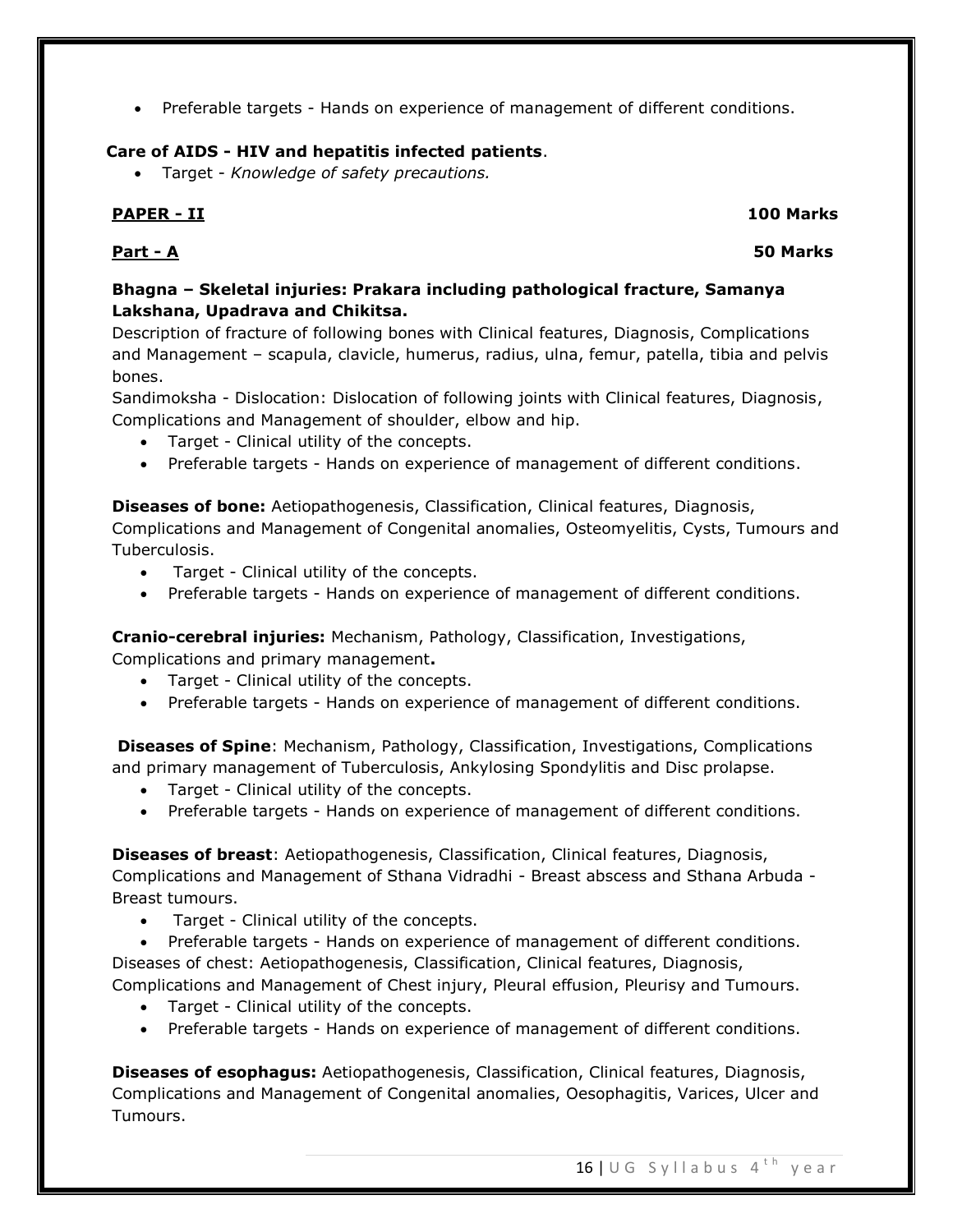Preferable targets - Hands on experience of management of different conditions.

# **Care of AIDS - HIV and hepatitis infected patients**.

Target - *Knowledge of safety precautions.*

# **PAPER - II 100 Marks**

# **Part - A 50 Marks**

# **Bhagna – Skeletal injuries: Prakara including pathological fracture, Samanya Lakshana, Upadrava and Chikitsa.**

Description of fracture of following bones with Clinical features, Diagnosis, Complications and Management – scapula, clavicle, humerus, radius, ulna, femur, patella, tibia and pelvis bones.

Sandimoksha - Dislocation: Dislocation of following joints with Clinical features, Diagnosis, Complications and Management of shoulder, elbow and hip.

- Target Clinical utility of the concepts.
- Preferable targets Hands on experience of management of different conditions.

**Diseases of bone:** Aetiopathogenesis, Classification, Clinical features, Diagnosis,

Complications and Management of Congenital anomalies, Osteomyelitis, Cysts, Tumours and Tuberculosis.

- Target Clinical utility of the concepts.
- Preferable targets Hands on experience of management of different conditions.

**Cranio-cerebral injuries:** Mechanism, Pathology, Classification, Investigations,

Complications and primary management**.**

- Target Clinical utility of the concepts.
- Preferable targets Hands on experience of management of different conditions.

**Diseases of Spine**: Mechanism, Pathology, Classification, Investigations, Complications and primary management of Tuberculosis, Ankylosing Spondylitis and Disc prolapse.

- Target Clinical utility of the concepts.
- Preferable targets Hands on experience of management of different conditions.

**Diseases of breast**: Aetiopathogenesis, Classification, Clinical features, Diagnosis, Complications and Management of Sthana Vidradhi - Breast abscess and Sthana Arbuda - Breast tumours.

Target - Clinical utility of the concepts.

 Preferable targets - Hands on experience of management of different conditions. Diseases of chest: Aetiopathogenesis, Classification, Clinical features, Diagnosis,

Complications and Management of Chest injury, Pleural effusion, Pleurisy and Tumours.

- Target Clinical utility of the concepts.
- Preferable targets Hands on experience of management of different conditions.

**Diseases of esophagus:** Aetiopathogenesis, Classification, Clinical features, Diagnosis, Complications and Management of Congenital anomalies, Oesophagitis, Varices, Ulcer and Tumours.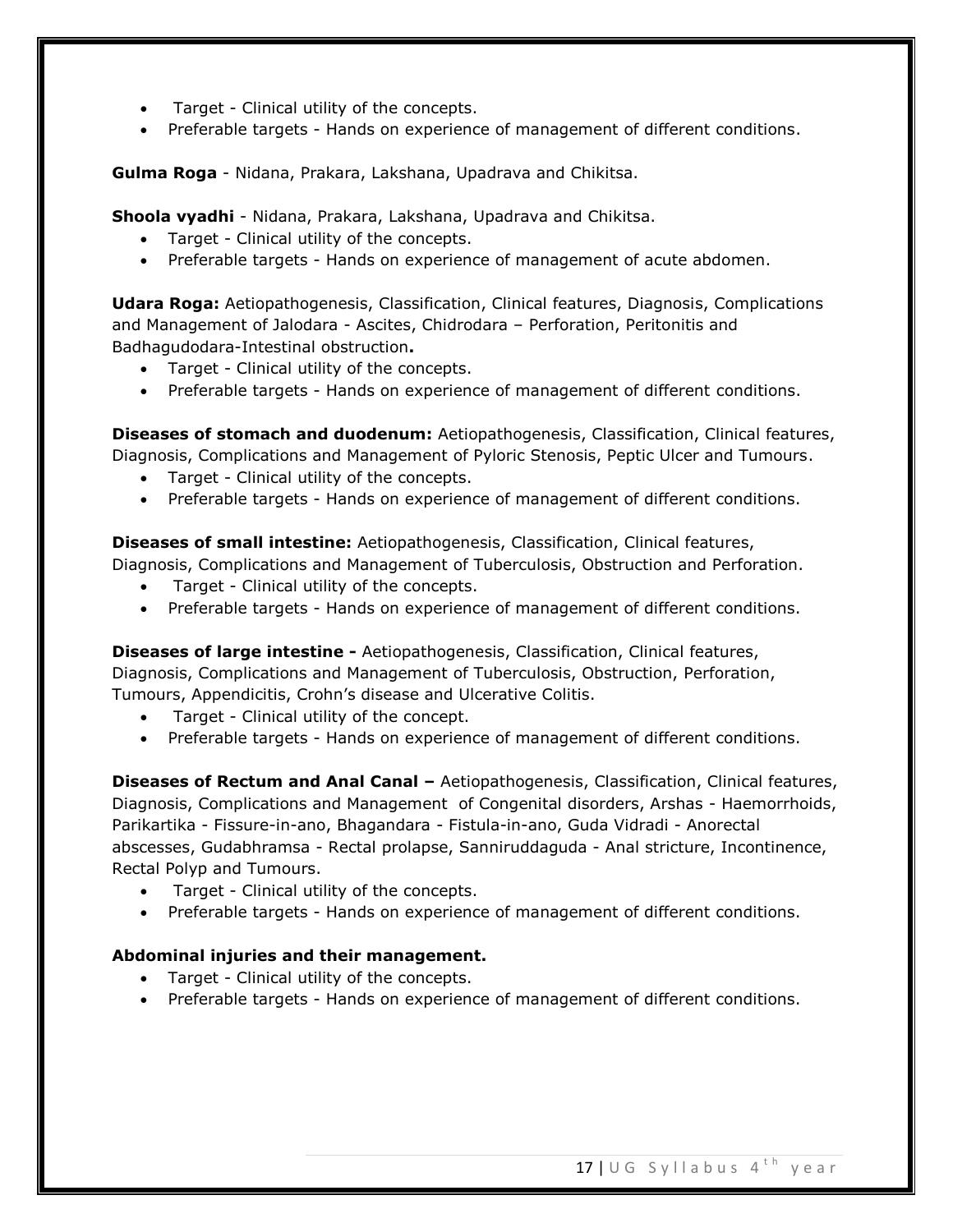- Target Clinical utility of the concepts.
- Preferable targets Hands on experience of management of different conditions.

**Gulma Roga** - Nidana, Prakara, Lakshana, Upadrava and Chikitsa.

**Shoola vyadhi** - Nidana, Prakara, Lakshana, Upadrava and Chikitsa.

- Target Clinical utility of the concepts.
- Preferable targets Hands on experience of management of acute abdomen.

**Udara Roga:** Aetiopathogenesis, Classification, Clinical features, Diagnosis, Complications and Management of Jalodara - Ascites, Chidrodara – Perforation, Peritonitis and Badhagudodara-Intestinal obstruction**.**

- Target Clinical utility of the concepts.
- Preferable targets Hands on experience of management of different conditions.

**Diseases of stomach and duodenum:** Aetiopathogenesis, Classification, Clinical features, Diagnosis, Complications and Management of Pyloric Stenosis, Peptic Ulcer and Tumours.

- Target Clinical utility of the concepts.
- Preferable targets Hands on experience of management of different conditions.

**Diseases of small intestine:** Aetiopathogenesis, Classification, Clinical features, Diagnosis, Complications and Management of Tuberculosis, Obstruction and Perforation.

- Target Clinical utility of the concepts.
- Preferable targets Hands on experience of management of different conditions.

**Diseases of large intestine -** Aetiopathogenesis, Classification, Clinical features, Diagnosis, Complications and Management of Tuberculosis, Obstruction, Perforation, Tumours, Appendicitis, Crohn's disease and Ulcerative Colitis.

- Target Clinical utility of the concept.
- Preferable targets Hands on experience of management of different conditions.

**Diseases of Rectum and Anal Canal –** Aetiopathogenesis, Classification, Clinical features, Diagnosis, Complications and Management of Congenital disorders, Arshas - Haemorrhoids, Parikartika - Fissure-in-ano, Bhagandara - Fistula-in-ano, Guda Vidradi - Anorectal abscesses, Gudabhramsa - Rectal prolapse, Sanniruddaguda - Anal stricture, Incontinence, Rectal Polyp and Tumours.

- Target Clinical utility of the concepts.
- Preferable targets Hands on experience of management of different conditions.

### **Abdominal injuries and their management.**

- Target Clinical utility of the concepts.
- Preferable targets Hands on experience of management of different conditions.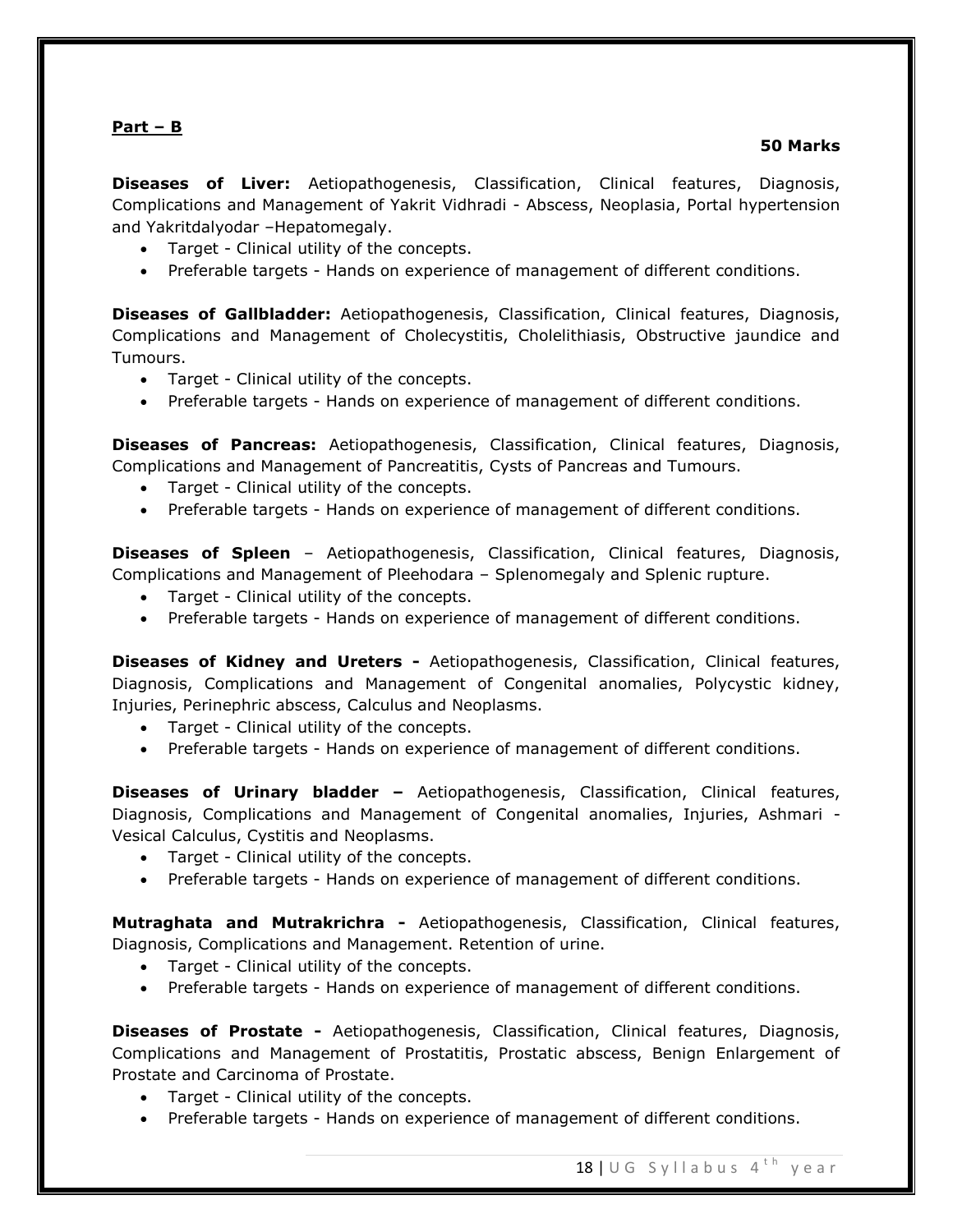# **Part – B**

#### **50 Marks**

**Diseases of Liver:** Aetiopathogenesis, Classification, Clinical features, Diagnosis, Complications and Management of Yakrit Vidhradi - Abscess, Neoplasia, Portal hypertension and Yakritdalyodar –Hepatomegaly.

- Target Clinical utility of the concepts.
- Preferable targets Hands on experience of management of different conditions.

**Diseases of Gallbladder:** Aetiopathogenesis, Classification, Clinical features, Diagnosis, Complications and Management of Cholecystitis, Cholelithiasis, Obstructive jaundice and Tumours.

- Target Clinical utility of the concepts.
- Preferable targets Hands on experience of management of different conditions.

**Diseases of Pancreas:** Aetiopathogenesis, Classification, Clinical features, Diagnosis, Complications and Management of Pancreatitis, Cysts of Pancreas and Tumours.

- Target Clinical utility of the concepts.
- Preferable targets Hands on experience of management of different conditions.

**Diseases of Spleen** – Aetiopathogenesis, Classification, Clinical features, Diagnosis, Complications and Management of Pleehodara – Splenomegaly and Splenic rupture.

- Target Clinical utility of the concepts.
- Preferable targets Hands on experience of management of different conditions.

**Diseases of Kidney and Ureters -** Aetiopathogenesis, Classification, Clinical features, Diagnosis, Complications and Management of Congenital anomalies, Polycystic kidney, Injuries, Perinephric abscess, Calculus and Neoplasms.

- Target Clinical utility of the concepts.
- Preferable targets Hands on experience of management of different conditions.

**Diseases of Urinary bladder –** Aetiopathogenesis, Classification, Clinical features, Diagnosis, Complications and Management of Congenital anomalies, Injuries, Ashmari - Vesical Calculus, Cystitis and Neoplasms.

- Target Clinical utility of the concepts.
- Preferable targets Hands on experience of management of different conditions.

**Mutraghata and Mutrakrichra -** Aetiopathogenesis, Classification, Clinical features, Diagnosis, Complications and Management. Retention of urine.

- Target Clinical utility of the concepts.
- Preferable targets Hands on experience of management of different conditions.

**Diseases of Prostate -** Aetiopathogenesis, Classification, Clinical features, Diagnosis, Complications and Management of Prostatitis, Prostatic abscess, Benign Enlargement of Prostate and Carcinoma of Prostate.

- Target Clinical utility of the concepts.
- Preferable targets Hands on experience of management of different conditions.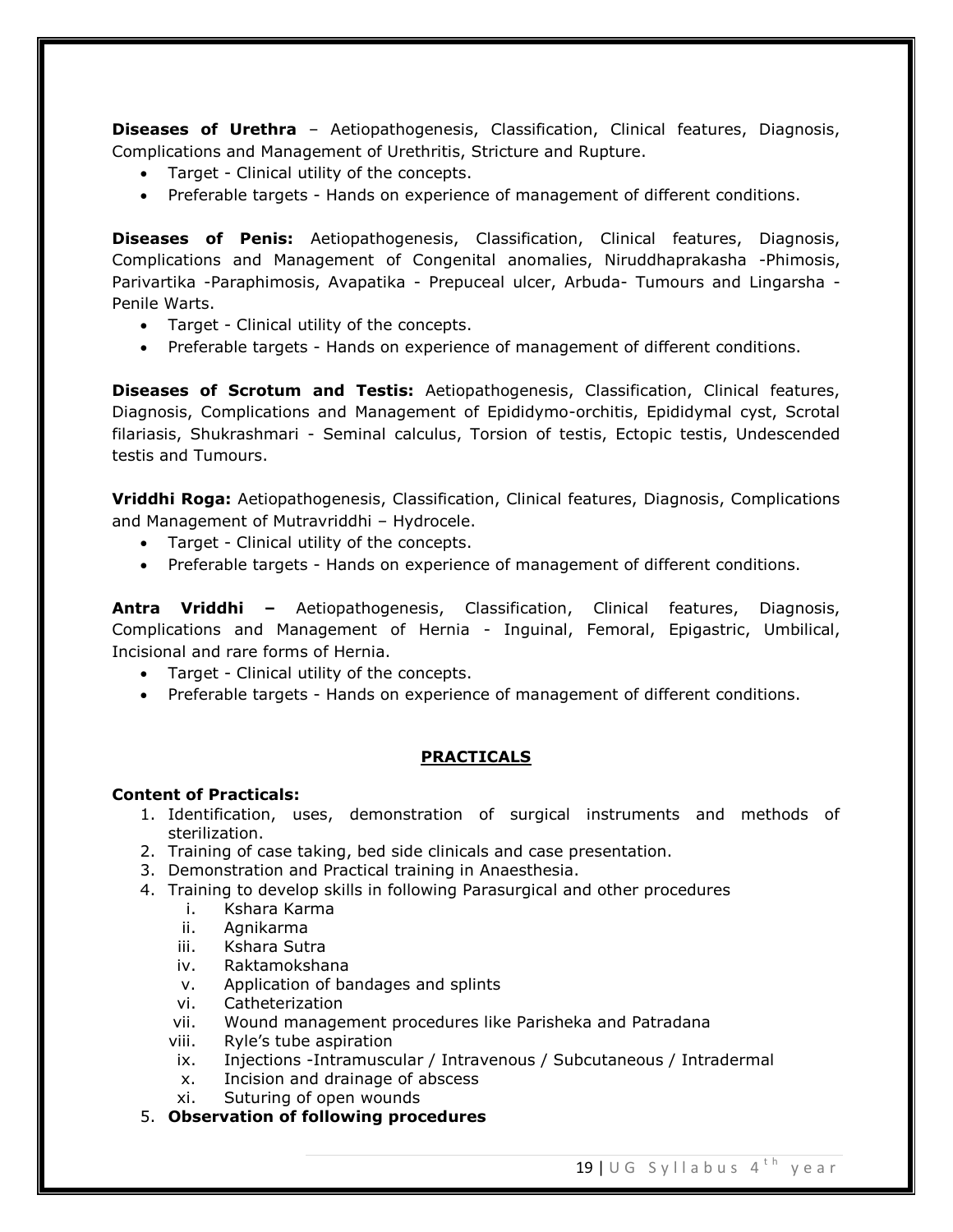**Diseases of Urethra** – Aetiopathogenesis, Classification, Clinical features, Diagnosis, Complications and Management of Urethritis, Stricture and Rupture.

- Target Clinical utility of the concepts.
- Preferable targets Hands on experience of management of different conditions.

**Diseases of Penis:** Aetiopathogenesis, Classification, Clinical features, Diagnosis, Complications and Management of Congenital anomalies, Niruddhaprakasha -Phimosis, Parivartika -Paraphimosis, Avapatika - Prepuceal ulcer, Arbuda- Tumours and Lingarsha -Penile Warts.

- Target Clinical utility of the concepts.
- Preferable targets Hands on experience of management of different conditions.

**Diseases of Scrotum and Testis:** Aetiopathogenesis, Classification, Clinical features, Diagnosis, Complications and Management of Epididymo-orchitis, Epididymal cyst, Scrotal filariasis, Shukrashmari - Seminal calculus, Torsion of testis, Ectopic testis, Undescended testis and Tumours.

**Vriddhi Roga:** Aetiopathogenesis, Classification, Clinical features, Diagnosis, Complications and Management of Mutravriddhi – Hydrocele.

- Target Clinical utility of the concepts.
- Preferable targets Hands on experience of management of different conditions.

**Antra Vriddhi –** Aetiopathogenesis, Classification, Clinical features, Diagnosis, Complications and Management of Hernia - Inguinal, Femoral, Epigastric, Umbilical, Incisional and rare forms of Hernia.

- Target Clinical utility of the concepts.
- Preferable targets Hands on experience of management of different conditions.

# **PRACTICALS**

### **Content of Practicals:**

- 1. Identification, uses, demonstration of surgical instruments and methods of sterilization.
- 2. Training of case taking, bed side clinicals and case presentation.
- 3. Demonstration and Practical training in Anaesthesia.
- 4. Training to develop skills in following Parasurgical and other procedures
	- i. Kshara Karma
	- ii. Agnikarma
	- iii. Kshara Sutra
	- iv. Raktamokshana
	- v. Application of bandages and splints
	- vi. Catheterization
	- vii. Wound management procedures like Parisheka and Patradana
	- viii. Ryle's tube aspiration
	- ix. Injections -Intramuscular / Intravenous / Subcutaneous / Intradermal
	- x. Incision and drainage of abscess
	- xi. Suturing of open wounds
- 5. **Observation of following procedures**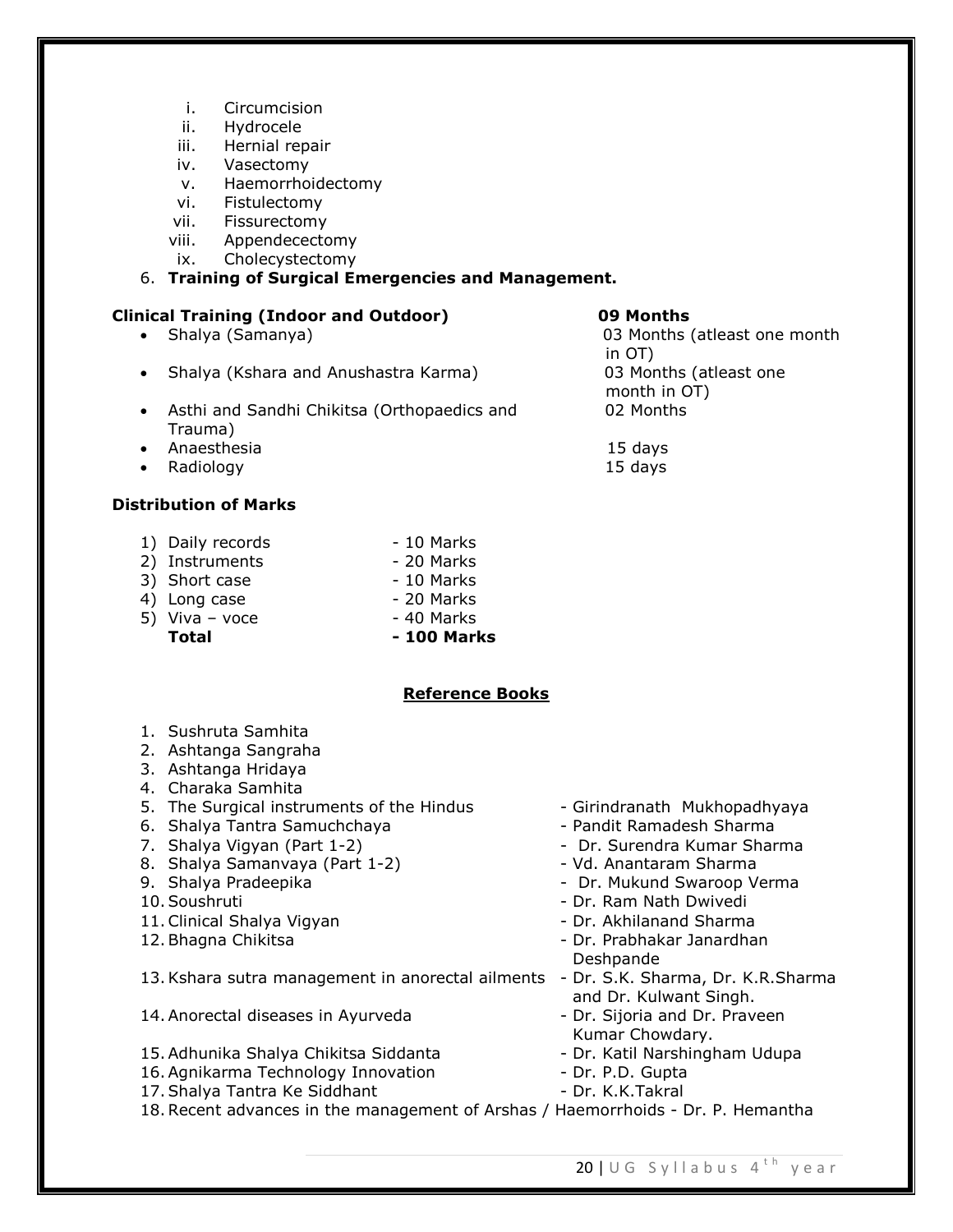- i. Circumcision
- ii. Hydrocele
- iii. Hernial repair
- iv. Vasectomy
- v. Haemorrhoidectomy
- vi. Fistulectomy
- vii. Fissurectomy
- viii. Appendecectomy
- ix. Cholecystectomy

### 6. **Training of Surgical Emergencies and Management.**

# **Clinical Training (Indoor and Outdoor) 09 Months**

- 
- Shalya (Kshara and Anushastra Karma) 03 Months (atleast one
- Asthi and Sandhi Chikitsa (Orthopaedics and 02 Months Trauma)
- Anaesthesia 15 days
- Radiology 15 days

# **Distribution of Marks**

- 1) Daily records 10 Marks
- 2) Instruments 20 Marks
- 3) Short case 10 Marks
- 4) Long case 20 Marks
- 
- $5)$  Viva voce  $-40$  Marks
	- **Total - 100 Marks**

# **Reference Books**

- 1. Sushruta Samhita
- 2. Ashtanga Sangraha
- 3. Ashtanga Hridaya
- 4. Charaka Samhita
- 5. The Surgical instruments of the Hindus Girindranath Mukhopadhyaya
- 6. Shalya Tantra Samuchchaya Pandit Ramadesh Sharma
- 
- 8. Shalya Samanvaya (Part 1-2) The Shandaram Sharma
- 
- 
- 11. Clinical Shalya Vigyan  **Alice Shalish Clinical Sharma** Dr. Akhilanand Sharma
- 

13.Kshara sutra management in anorectal ailments - Dr. S.K. Sharma, Dr. K.R.Sharma

- 14. Anorectal diseases in Ayurveda The Sijoria and Dr. Praveen
- 15. Adhunika Shalya Chikitsa Siddanta Labamar Dr. Katil Narshingham Udupa
- 15. Additional Science Science Science Science<br>16. Agnikarma Technology Innovation Dr. P. P. B. K. K. Takral
- 17. Shalya Tantra Ke Siddhant Dr. K.K.Takral
- 
- 
- 7. Shalya Vigyan (Part 1-2) Andreas Company Dr. Surendra Kumar Sharma
	-
- 9. Shalya Pradeepika Dr. Mukund Swaroop Verma
- 10. Soushruti Dr. Ram Nath Dwivedi
	-
- 12. Bhagna Chikitsa Dr. Prabhakar Janardhan Deshpande
	- and Dr. Kulwant Singh.
	- Kumar Chowdary.
	-
	-
	-
- 18.Recent advances in the management of Arshas / Haemorrhoids Dr. P. Hemantha

 Shalya (Samanya) 03 Months (atleast one month in OT) and the contract of the contract of the contract of the contract of the contract of the contract of the month in OT)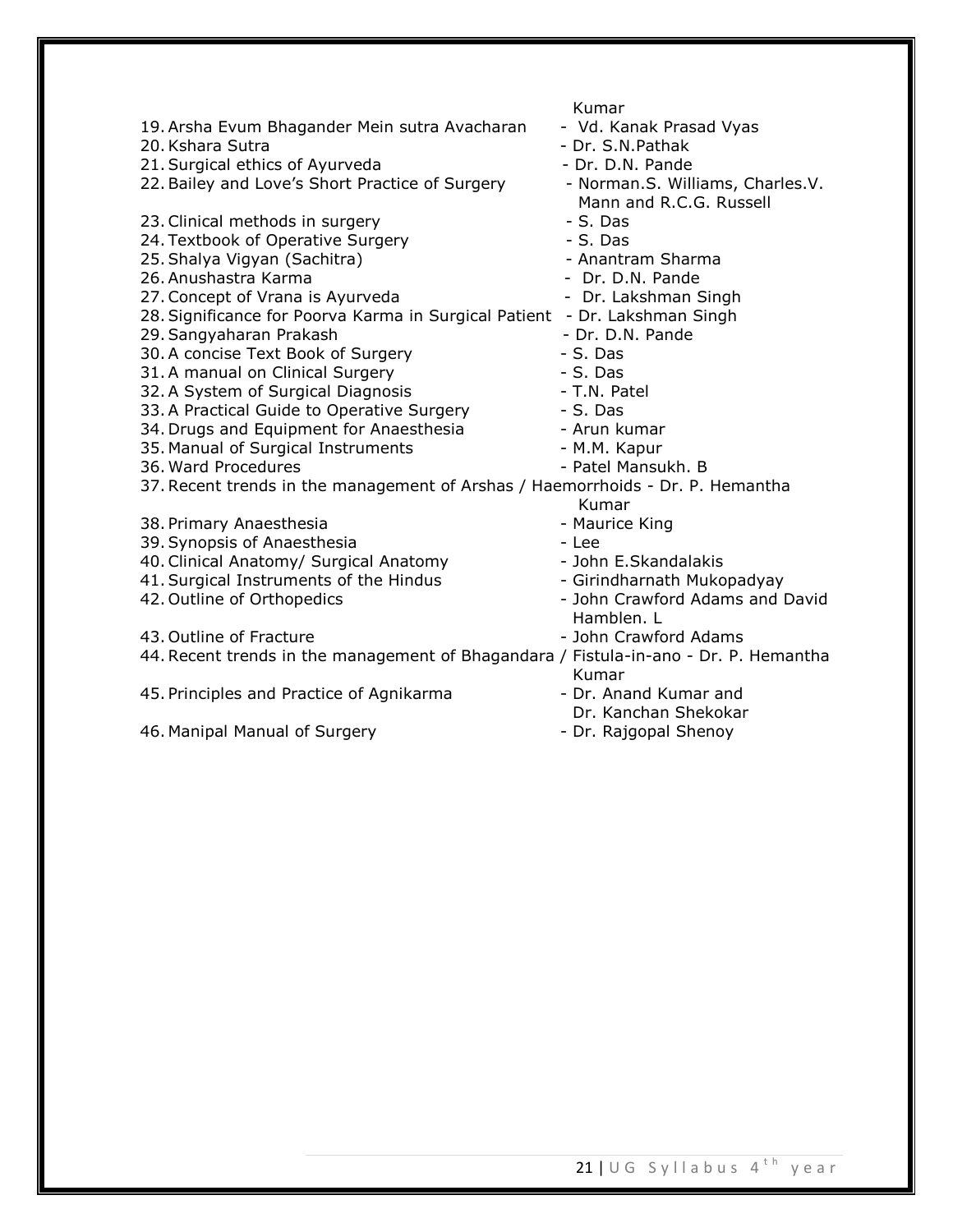|                                                                                      | Kumar                            |
|--------------------------------------------------------------------------------------|----------------------------------|
| 19. Arsha Evum Bhagander Mein sutra Avacharan                                        | - Vd. Kanak Prasad Vyas          |
| 20. Kshara Sutra                                                                     | - Dr. S.N.Pathak                 |
| 21. Surgical ethics of Ayurveda                                                      | - Dr. D.N. Pande                 |
| 22. Bailey and Love's Short Practice of Surgery                                      | - Norman.S. Williams, Charles.V. |
|                                                                                      | Mann and R.C.G. Russell          |
| 23. Clinical methods in surgery                                                      | $-S.$ Das                        |
| 24. Textbook of Operative Surgery                                                    | - S. Das                         |
| 25. Shalya Vigyan (Sachitra)                                                         | - Anantram Sharma                |
| 26. Anushastra Karma                                                                 | - Dr. D.N. Pande                 |
| 27. Concept of Vrana is Ayurveda                                                     | - Dr. Lakshman Singh             |
| 28. Significance for Poorva Karma in Surgical Patient - Dr. Lakshman Singh           |                                  |
| 29. Sangyaharan Prakash                                                              | - Dr. D.N. Pande                 |
| 30. A concise Text Book of Surgery                                                   | - S. Das                         |
| 31. A manual on Clinical Surgery                                                     | - S. Das                         |
| 32. A System of Surgical Diagnosis                                                   | - T.N. Patel                     |
| 33. A Practical Guide to Operative Surgery                                           | - S. Das                         |
| 34. Drugs and Equipment for Anaesthesia                                              | - Arun kumar                     |
| 35. Manual of Surgical Instruments                                                   | - M.M. Kapur                     |
| 36. Ward Procedures                                                                  | - Patel Mansukh. B               |
| 37. Recent trends in the management of Arshas / Haemorrhoids - Dr. P. Hemantha       |                                  |
|                                                                                      | Kumar                            |
| 38. Primary Anaesthesia                                                              | - Maurice King                   |
| 39. Synopsis of Anaesthesia                                                          | - Lee                            |
| 40. Clinical Anatomy/ Surgical Anatomy                                               | - John E.Skandalakis             |
| 41. Surgical Instruments of the Hindus                                               | - Girindharnath Mukopadyay       |
| 42. Outline of Orthopedics                                                           | - John Crawford Adams and David  |
|                                                                                      | Hamblen. L                       |
| 43. Outline of Fracture                                                              | - John Crawford Adams            |
| 44. Recent trends in the management of Bhagandara / Fistula-in-ano - Dr. P. Hemantha |                                  |
|                                                                                      | Kumar                            |
| 45. Principles and Practice of Agnikarma                                             | - Dr. Anand Kumar and            |
|                                                                                      | Dr. Kanchan Shekokar             |
| 46. Manipal Manual of Surgery                                                        | - Dr. Rajgopal Shenoy            |
|                                                                                      |                                  |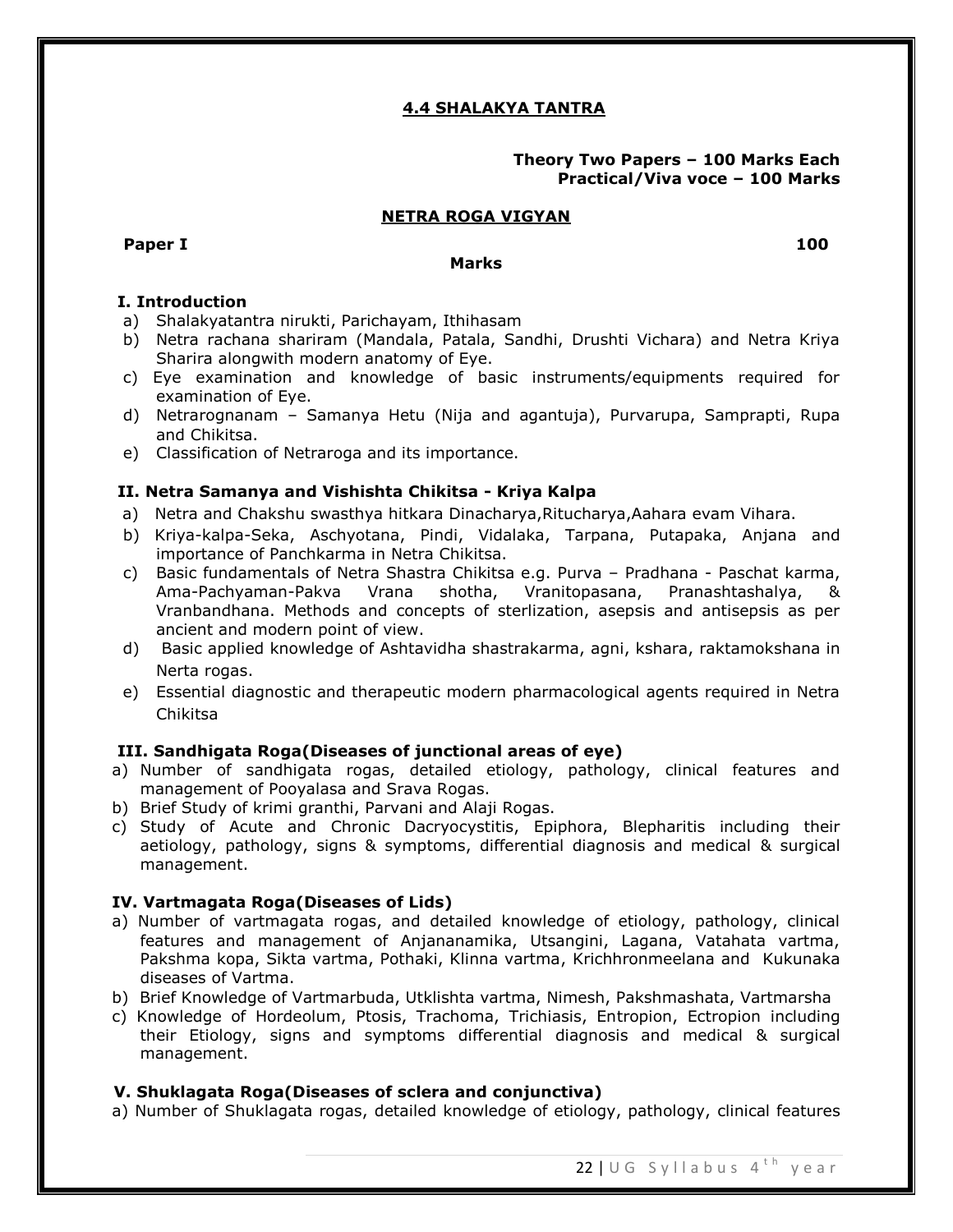# **4.4 SHALAKYA TANTRA**

## **Theory Two Papers – 100 Marks Each Practical/Viva voce – 100 Marks**

#### **NETRA ROGA VIGYAN**

**Paper I 100** 

#### **Marks**

**I. Introduction** 

- a) Shalakyatantra nirukti, Parichayam, Ithihasam
- b) Netra rachana shariram (Mandala, Patala, Sandhi, Drushti Vichara) and Netra Kriya Sharira alongwith modern anatomy of Eye.
- c) Eye examination and knowledge of basic instruments/equipments required for examination of Eye.
- d) Netrarognanam Samanya Hetu (Nija and agantuja), Purvarupa, Samprapti, Rupa and Chikitsa.
- e) Classification of Netraroga and its importance.

### **II. Netra Samanya and Vishishta Chikitsa - Kriya Kalpa**

- a)Netra and Chakshu swasthya hitkara Dinacharya,Ritucharya,Aahara evam Vihara.
- b) Kriya-kalpa-Seka, Aschyotana, Pindi, Vidalaka, Tarpana, Putapaka, Anjana and importance of Panchkarma in Netra Chikitsa.
- c) Basic fundamentals of Netra Shastra Chikitsa e.g. Purva Pradhana Paschat karma, Ama-Pachyaman-Pakva Vrana shotha, Vranitopasana, Pranashtashalya, & Vranbandhana. Methods and concepts of sterlization, asepsis and antisepsis as per ancient and modern point of view.
- d) Basic applied knowledge of Ashtavidha shastrakarma, agni, kshara, raktamokshana in Nerta rogas.
- e) Essential diagnostic and therapeutic modern pharmacological agents required in Netra Chikitsa

### **III. Sandhigata Roga(Diseases of junctional areas of eye)**

- a) Number of sandhigata rogas, detailed etiology, pathology, clinical features and management of Pooyalasa and Srava Rogas.
- b) Brief Study of krimi granthi, Parvani and Alaji Rogas.
- c) Study of Acute and Chronic Dacryocystitis, Epiphora, Blepharitis including their aetiology, pathology, signs & symptoms, differential diagnosis and medical & surgical management.

### **IV. Vartmagata Roga(Diseases of Lids)**

- a) Number of vartmagata rogas, and detailed knowledge of etiology, pathology, clinical features and management of Anjananamika, Utsangini, Lagana, Vatahata vartma, Pakshma kopa, Sikta vartma, Pothaki, Klinna vartma, Krichhronmeelana and Kukunaka diseases of Vartma.
- b) Brief Knowledge of Vartmarbuda, Utklishta vartma, Nimesh, Pakshmashata, Vartmarsha
- c) Knowledge of Hordeolum, Ptosis, Trachoma, Trichiasis, Entropion, Ectropion including their Etiology, signs and symptoms differential diagnosis and medical & surgical management.

### **V. Shuklagata Roga(Diseases of sclera and conjunctiva)**

a) Number of Shuklagata rogas, detailed knowledge of etiology, pathology, clinical features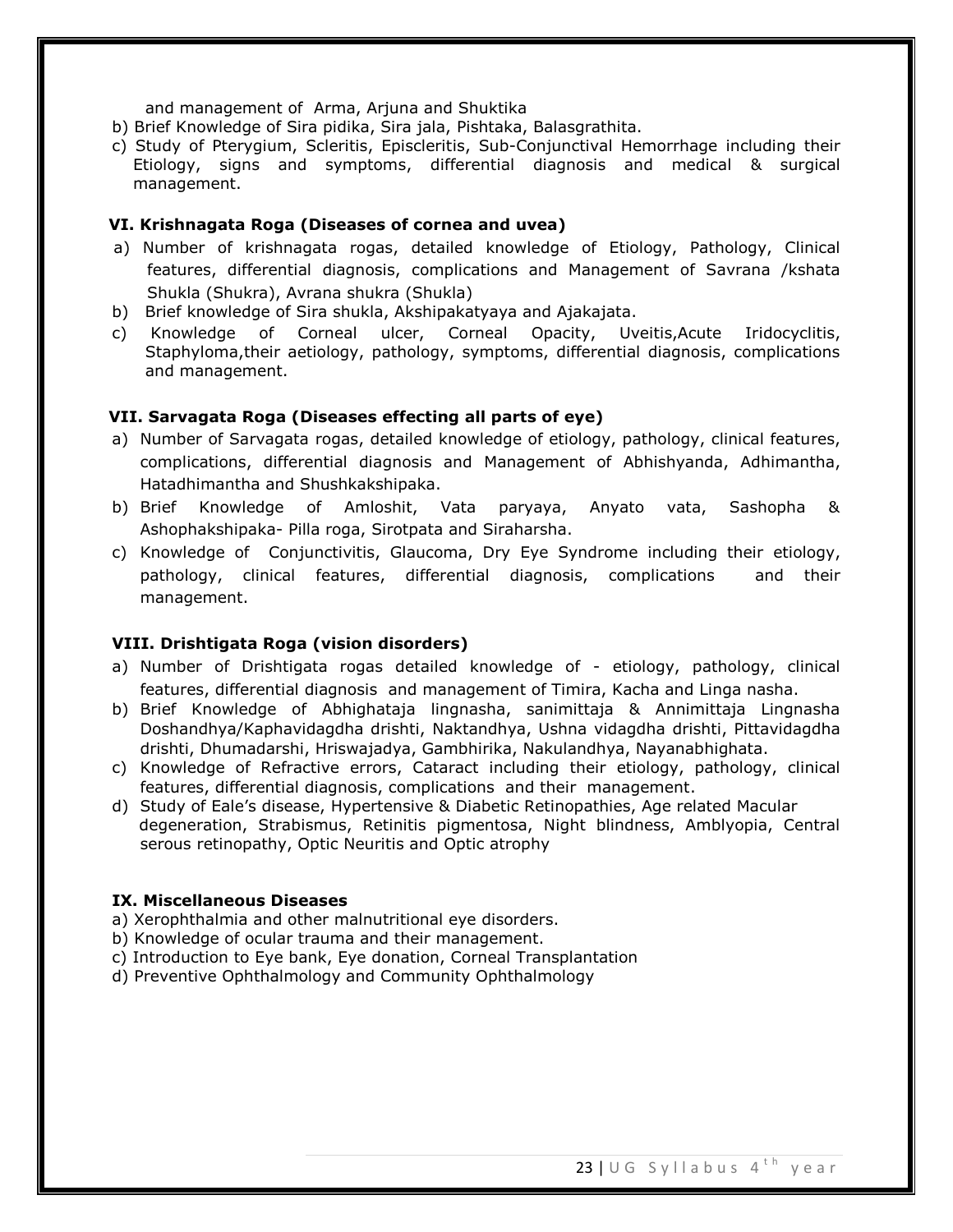and management of Arma, Arjuna and Shuktika

- b) Brief Knowledge of Sira pidika, Sira jala, Pishtaka, Balasgrathita.
- c) Study of Pterygium, Scleritis, Episcleritis, Sub-Conjunctival Hemorrhage including their Etiology, signs and symptoms, differential diagnosis and medical & surgical management.

### **VI. Krishnagata Roga (Diseases of cornea and uvea)**

- a) Number of krishnagata rogas, detailed knowledge of Etiology, Pathology, Clinical features, differential diagnosis, complications and Management of Savrana /kshata Shukla (Shukra), Avrana shukra (Shukla)
- b) Brief knowledge of Sira shukla, Akshipakatyaya and Ajakajata.
- c) Knowledge of Corneal ulcer, Corneal Opacity, Uveitis,Acute Iridocyclitis, Staphyloma,their aetiology, pathology, symptoms, differential diagnosis, complications and management.

### **VII. Sarvagata Roga (Diseases effecting all parts of eye)**

- a) Number of Sarvagata rogas, detailed knowledge of etiology, pathology, clinical features, complications, differential diagnosis and Management of Abhishyanda, Adhimantha, Hatadhimantha and Shushkakshipaka.
- b) Brief Knowledge of Amloshit, Vata paryaya, Anyato vata, Sashopha & Ashophakshipaka- Pilla roga, Sirotpata and Siraharsha.
- c) Knowledge of Conjunctivitis, Glaucoma, Dry Eye Syndrome including their etiology, pathology, clinical features, differential diagnosis, complications and their management.

#### **VIII. Drishtigata Roga (vision disorders)**

- a) Number of Drishtigata rogas detailed knowledge of etiology, pathology, clinical features, differential diagnosis and management of Timira, Kacha and Linga nasha.
- b) Brief Knowledge of Abhighataja lingnasha, sanimittaja & Annimittaja Lingnasha Doshandhya/Kaphavidagdha drishti, Naktandhya, Ushna vidagdha drishti, Pittavidagdha drishti, Dhumadarshi, Hriswajadya, Gambhirika, Nakulandhya, Nayanabhighata.
- c) Knowledge of Refractive errors, Cataract including their etiology, pathology, clinical features, differential diagnosis, complications and their management.
- d) Study of Eale's disease, Hypertensive & Diabetic Retinopathies, Age related Macular degeneration, Strabismus, Retinitis pigmentosa, Night blindness, Amblyopia, Central serous retinopathy, Optic Neuritis and Optic atrophy

# **IX. Miscellaneous Diseases**

- a) Xerophthalmia and other malnutritional eye disorders.
- b) Knowledge of ocular trauma and their management.
- c) Introduction to Eye bank, Eye donation, Corneal Transplantation
- d) Preventive Ophthalmology and Community Ophthalmology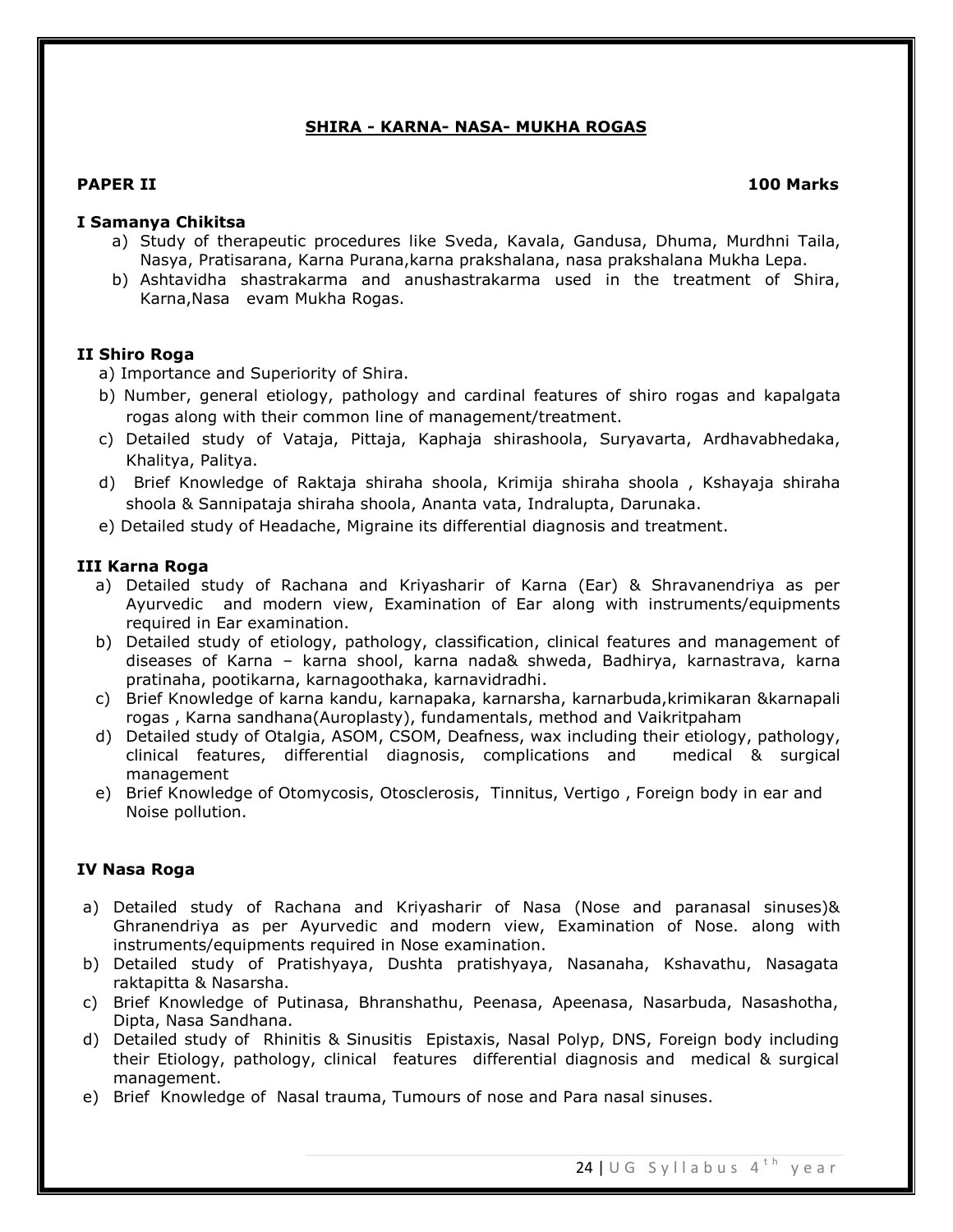# **SHIRA - KARNA- NASA- MUKHA ROGAS**

### **PAPER II 100 Marks**

#### **I Samanya Chikitsa**

- a) Study of therapeutic procedures like Sveda, Kavala, Gandusa, Dhuma, Murdhni Taila, Nasya, Pratisarana, Karna Purana,karna prakshalana, nasa prakshalana Mukha Lepa.
- b) Ashtavidha shastrakarma and anushastrakarma used in the treatment of Shira, Karna,Nasa evam Mukha Rogas.

#### **II Shiro Roga**

a) Importance and Superiority of Shira.

- b) Number, general etiology, pathology and cardinal features of shiro rogas and kapalgata rogas along with their common line of management/treatment.
- c) Detailed study of Vataja, Pittaja, Kaphaja shirashoola, Suryavarta, Ardhavabhedaka, Khalitya, Palitya.
- d) Brief Knowledge of Raktaja shiraha shoola, Krimija shiraha shoola , Kshayaja shiraha shoola & Sannipataja shiraha shoola, Ananta vata, Indralupta, Darunaka.
- e) Detailed study of Headache, Migraine its differential diagnosis and treatment.

#### **III Karna Roga**

- a) Detailed study of Rachana and Kriyasharir of Karna (Ear) & Shravanendriya as per Ayurvedic and modern view, Examination of Ear along with instruments/equipments required in Ear examination.
- b) Detailed study of etiology, pathology, classification, clinical features and management of diseases of Karna – karna shool, karna nada& shweda, Badhirya, karnastrava, karna pratinaha, pootikarna, karnagoothaka, karnavidradhi.
- c) Brief Knowledge of karna kandu, karnapaka, karnarsha, karnarbuda,krimikaran &karnapali rogas , Karna sandhana(Auroplasty), fundamentals, method and Vaikritpaham
- d) Detailed study of Otalgia, ASOM, CSOM, Deafness, wax including their etiology, pathology, clinical features, differential diagnosis, complications and medical & surgical management
- e) Brief Knowledge of Otomycosis, Otosclerosis, Tinnitus, Vertigo , Foreign body in ear and Noise pollution.

### **IV Nasa Roga**

- a) Detailed study of Rachana and Kriyasharir of Nasa (Nose and paranasal sinuses)& Ghranendriya as per Ayurvedic and modern view, Examination of Nose. along with instruments/equipments required in Nose examination.
- b) Detailed study of Pratishyaya, Dushta pratishyaya, Nasanaha, Kshavathu, Nasagata raktapitta & Nasarsha.
- c) Brief Knowledge of Putinasa, Bhranshathu, Peenasa, Apeenasa, Nasarbuda, Nasashotha, Dipta, Nasa Sandhana.
- d) Detailed study of Rhinitis & Sinusitis Epistaxis, Nasal Polyp, DNS, Foreign body including their Etiology, pathology, clinical features differential diagnosis and medical & surgical management.
- e) Brief Knowledge of Nasal trauma, Tumours of nose and Para nasal sinuses.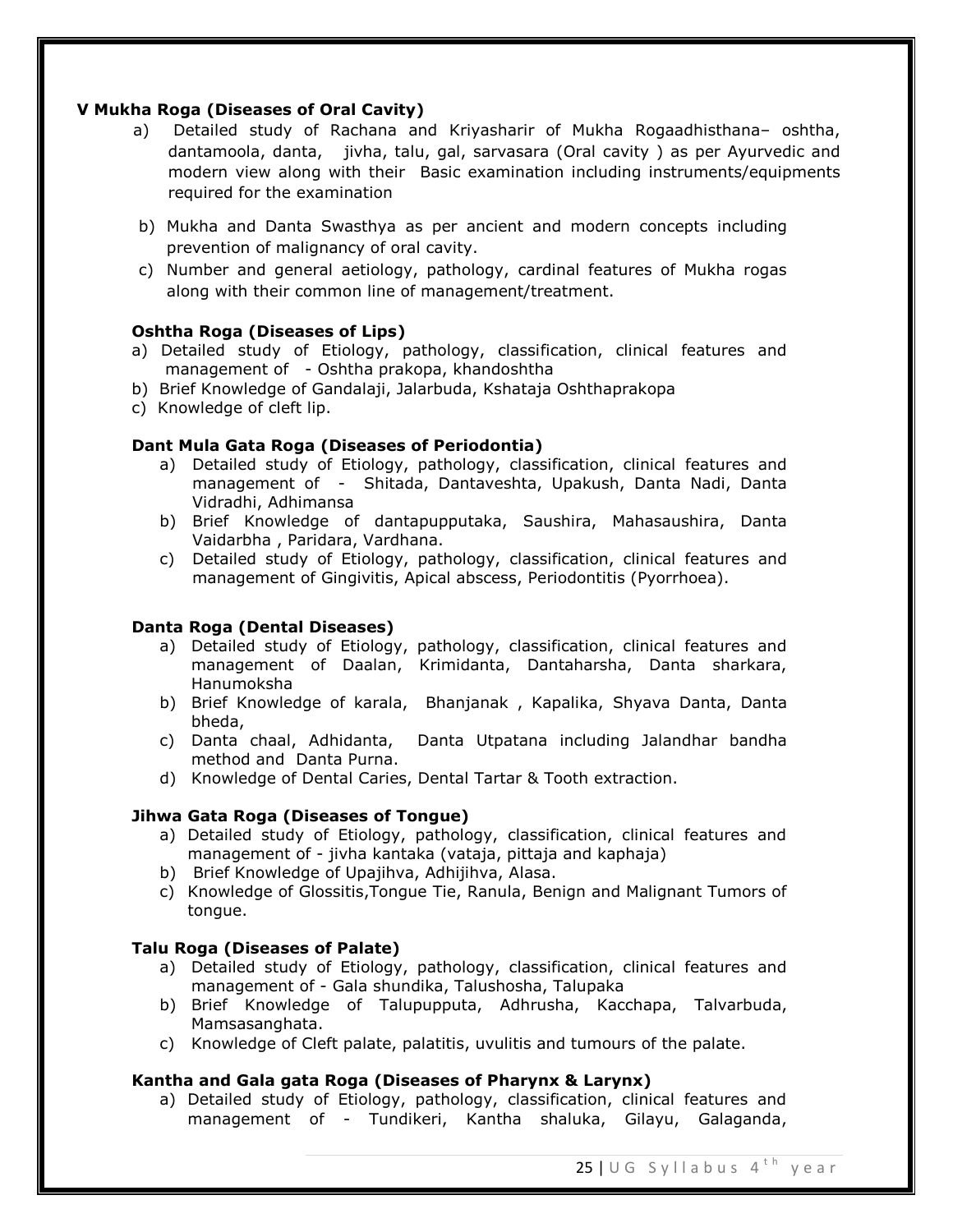## **V Mukha Roga (Diseases of Oral Cavity)**

- a) Detailed study of Rachana and Kriyasharir of Mukha Rogaadhisthana– oshtha, dantamoola, danta, jivha, talu, gal, sarvasara (Oral cavity ) as per Ayurvedic and modern view along with their Basic examination including instruments/equipments required for the examination
- b) Mukha and Danta Swasthya as per ancient and modern concepts including prevention of malignancy of oral cavity.
- c) Number and general aetiology, pathology, cardinal features of Mukha rogas along with their common line of management/treatment.

# **Oshtha Roga (Diseases of Lips)**

- a) Detailed study of Etiology, pathology, classification, clinical features and management of - Oshtha prakopa, khandoshtha
- b) Brief Knowledge of Gandalaji, Jalarbuda, Kshataja Oshthaprakopa
- c) Knowledge of cleft lip.

# **Dant Mula Gata Roga (Diseases of Periodontia)**

- a) Detailed study of Etiology, pathology, classification, clinical features and management of - Shitada, Dantaveshta, Upakush, Danta Nadi, Danta Vidradhi, Adhimansa
- b) Brief Knowledge of dantapupputaka, Saushira, Mahasaushira, Danta Vaidarbha , Paridara, Vardhana.
- c) Detailed study of Etiology, pathology, classification, clinical features and management of Gingivitis, Apical abscess, Periodontitis (Pyorrhoea).

### **Danta Roga (Dental Diseases)**

- a) Detailed study of Etiology, pathology, classification, clinical features and management of Daalan, Krimidanta, Dantaharsha, Danta sharkara, Hanumoksha
- b) Brief Knowledge of karala, Bhanjanak , Kapalika, Shyava Danta, Danta bheda,
- c) Danta chaal, Adhidanta, Danta Utpatana including Jalandhar bandha method and Danta Purna.
- d) Knowledge of Dental Caries, Dental Tartar & Tooth extraction.

### **Jihwa Gata Roga (Diseases of Tongue)**

- a) Detailed study of Etiology, pathology, classification, clinical features and management of - jivha kantaka (vataja, pittaja and kaphaja)
- b) Brief Knowledge of Upajihva, Adhijihva, Alasa.
- c) Knowledge of Glossitis,Tongue Tie, Ranula, Benign and Malignant Tumors of tongue.

### **Talu Roga (Diseases of Palate)**

- a) Detailed study of Etiology, pathology, classification, clinical features and management of - Gala shundika, Talushosha, Talupaka
- b) Brief Knowledge of Talupupputa, Adhrusha, Kacchapa, Talvarbuda, Mamsasanghata.
- c) Knowledge of Cleft palate, palatitis, uvulitis and tumours of the palate.

### **Kantha and Gala gata Roga (Diseases of Pharynx & Larynx)**

a) Detailed study of Etiology, pathology, classification, clinical features and management of - Tundikeri, Kantha shaluka, Gilayu, Galaganda,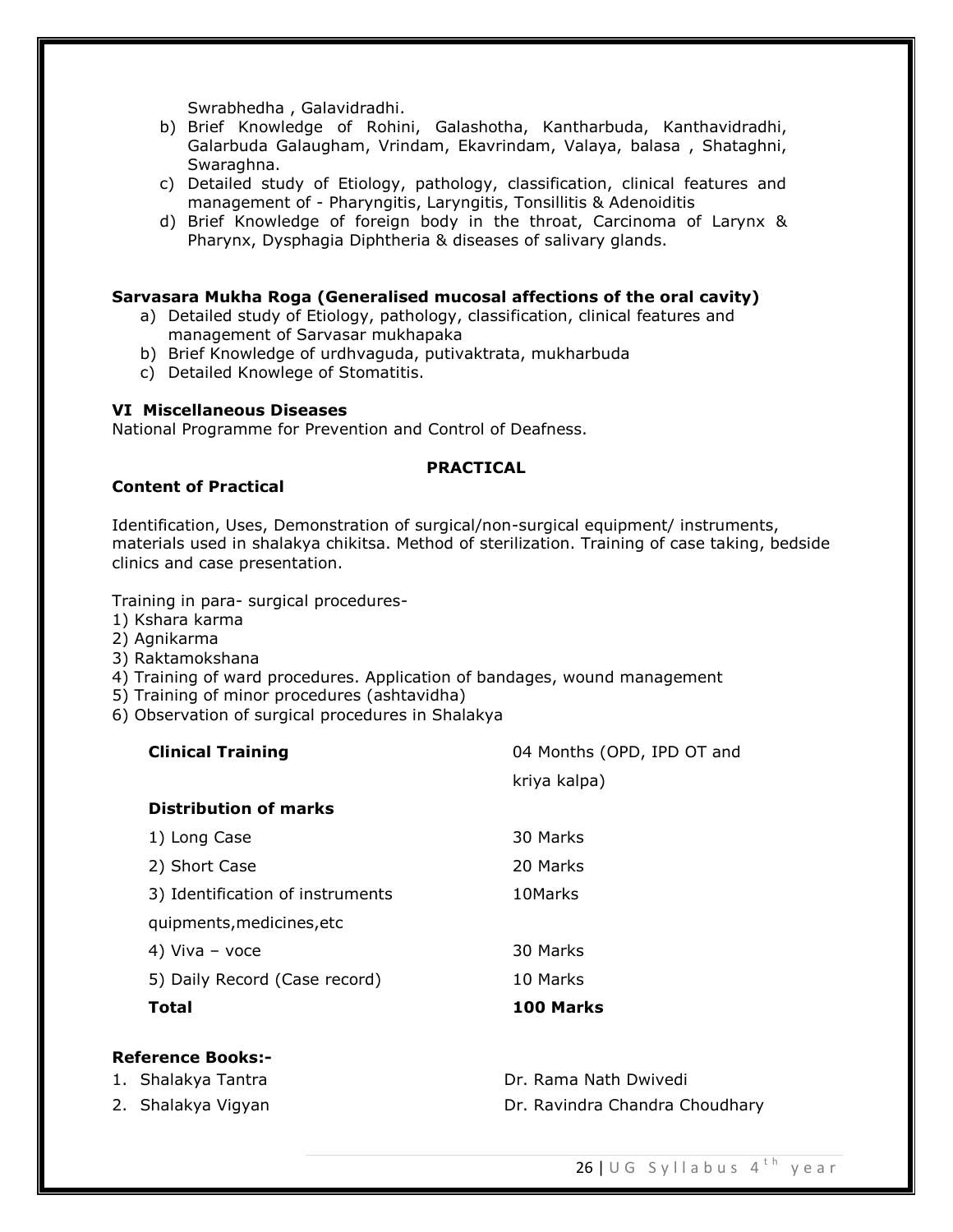Swrabhedha , Galavidradhi.

- b) Brief Knowledge of Rohini, Galashotha, Kantharbuda, Kanthavidradhi, Galarbuda Galaugham, Vrindam, Ekavrindam, Valaya, balasa , Shataghni, Swaraghna.
- c) Detailed study of Etiology, pathology, classification, clinical features and management of - Pharyngitis, Laryngitis, Tonsillitis & Adenoiditis
- d) Brief Knowledge of foreign body in the throat, Carcinoma of Larynx & Pharynx, Dysphagia Diphtheria & diseases of salivary glands.

#### **Sarvasara Mukha Roga (Generalised mucosal affections of the oral cavity)**

- a) Detailed study of Etiology, pathology, classification, clinical features and management of Sarvasar mukhapaka
- b) Brief Knowledge of urdhvaguda, putivaktrata, mukharbuda
- c) Detailed Knowlege of Stomatitis.

## **VI Miscellaneous Diseases**

National Programme for Prevention and Control of Deafness.

### **PRACTICAL**

#### **Content of Practical**

Identification, Uses, Demonstration of surgical/non-surgical equipment/ instruments, materials used in shalakya chikitsa. Method of sterilization. Training of case taking, bedside clinics and case presentation.

kriya kalpa)

Training in para- surgical procedures-

- 1) Kshara karma
- 2) Agnikarma
- 3) Raktamokshana
- 4) Training of ward procedures. Application of bandages, wound management
- 5) Training of minor procedures (ashtavidha)
- 6) Observation of surgical procedures in Shalakya

# **Clinical Training** 04 Months (OPD, IPD OT and

| <b>Distribution of marks</b>     |           |
|----------------------------------|-----------|
| 1) Long Case                     | 30 Marks  |
| 2) Short Case                    | 20 Marks  |
| 3) Identification of instruments | 10Marks   |
| quipments, medicines, etc        |           |
| 4) Viva - voce                   | 30 Marks  |
| 5) Daily Record (Case record)    | 10 Marks  |
| Total                            | 100 Marks |

#### **Reference Books:-**

| 1. Shalakya Tantra | Dr. Rama Nath Dwivedi          |
|--------------------|--------------------------------|
| 2. Shalakya Vigyan | Dr. Ravindra Chandra Choudhary |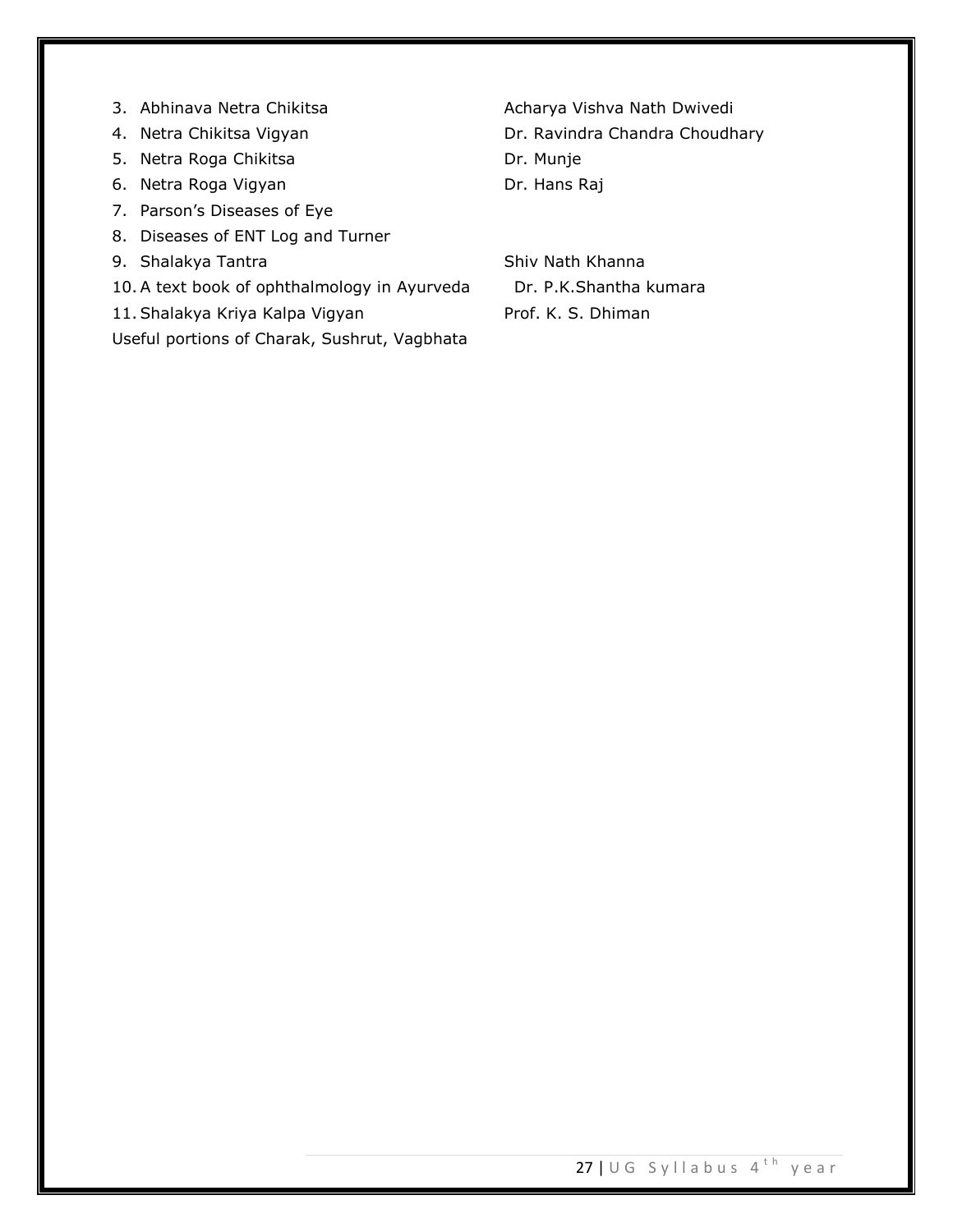- 
- 
- 5. Netra Roga Chikitsa **Dr. Munje**
- 6. Netra Roga Vigyan Dr. Hans Raj
- 7. Parson's Diseases of Eye
- 8. Diseases of ENT Log and Turner
- 9. Shalakya Tantra Shiv Nath Khanna
- 10.A text book of ophthalmology in Ayurveda Dr. P.K.Shantha kumara
- 11. Shalakya Kriya Kalpa Vigyan Prof. K. S. Dhiman

Useful portions of Charak, Sushrut, Vagbhata

3. Abhinava Netra Chikitsa **Acharya Vishva Nath Dwivedi** 4. Netra Chikitsa Vigyan **Dr. Ravindra Chandra Choudhary**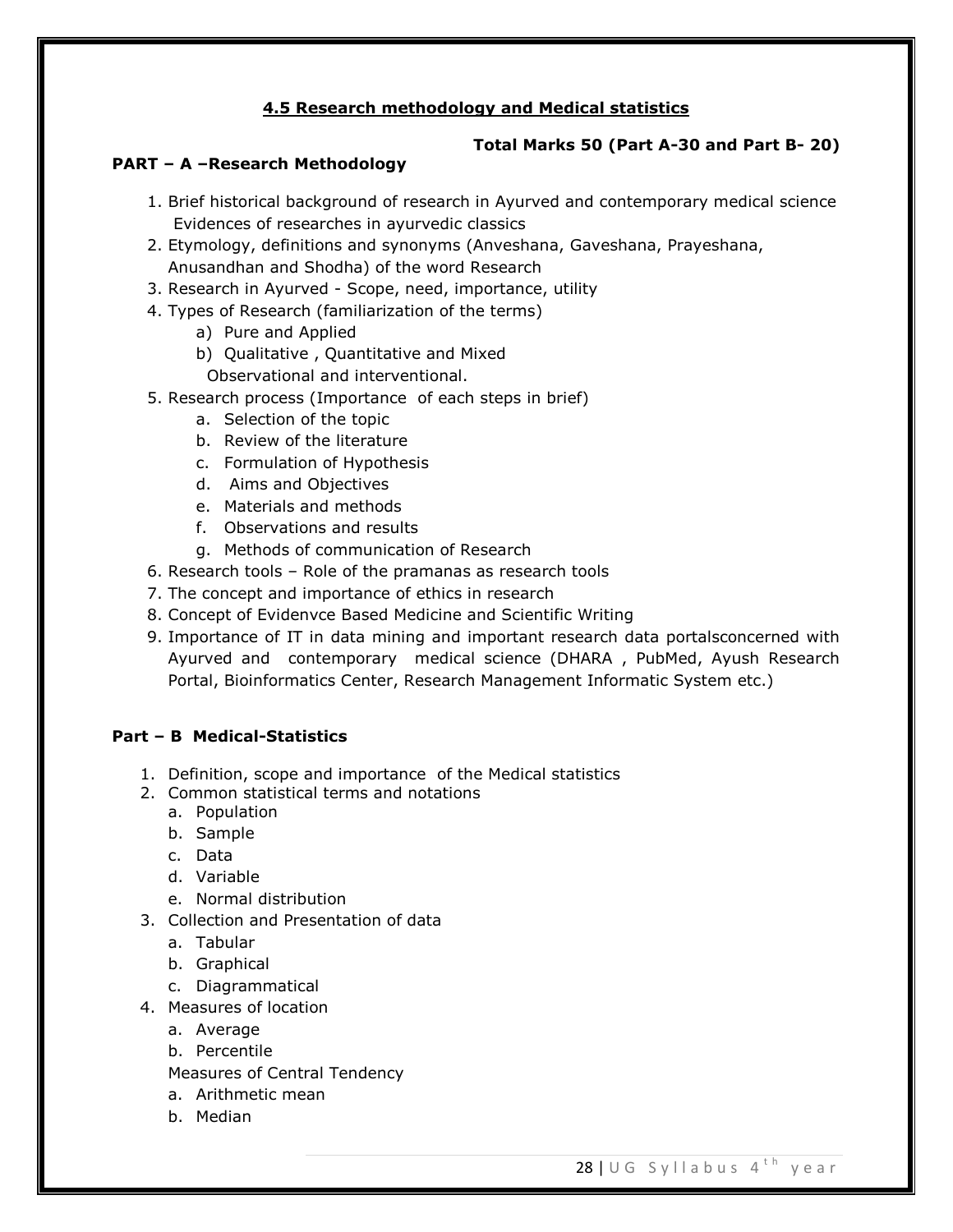# **4.5 Research methodology and Medical statistics**

# **Total Marks 50 (Part A-30 and Part B- 20)**

## **PART – A –Research Methodology**

- 1. Brief historical background of research in Ayurved and contemporary medical science Evidences of researches in ayurvedic classics
- 2. Etymology, definitions and synonyms (Anveshana, Gaveshana, Prayeshana, Anusandhan and Shodha) of the word Research
- 3. Research in Ayurved Scope, need, importance, utility
- 4. Types of Research (familiarization of the terms)
	- a) Pure and Applied
	- b) Qualitative , Quantitative and Mixed
		- Observational and interventional.
- 5. Research process (Importance of each steps in brief)
	- a. Selection of the topic
	- b. Review of the literature
	- c. Formulation of Hypothesis
	- d. Aims and Objectives
	- e. Materials and methods
	- f. Observations and results
	- g. Methods of communication of Research
- 6. Research tools Role of the pramanas as research tools
- 7. The concept and importance of ethics in research
- 8. Concept of Evidenvce Based Medicine and Scientific Writing
- 9. Importance of IT in data mining and important research data portalsconcerned with Ayurved and contemporary medical science (DHARA , PubMed, Ayush Research Portal, Bioinformatics Center, Research Management Informatic System etc.)

# **Part – B Medical-Statistics**

- 1. Definition, scope and importance of the Medical statistics
- 2. Common statistical terms and notations
	- a. Population
	- b. Sample
	- c. Data
	- d. Variable
	- e. Normal distribution
- 3. Collection and Presentation of data
	- a. Tabular
	- b. Graphical
	- c. Diagrammatical
- 4. Measures of location
	- a. Average
	- b. Percentile
	- Measures of Central Tendency
	- a. Arithmetic mean
	- b. Median